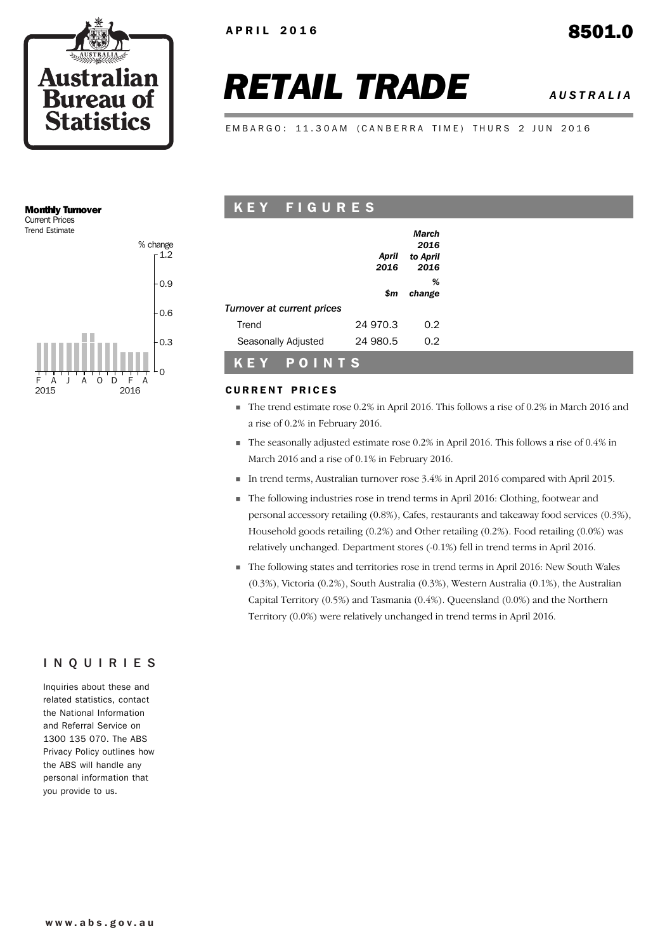

# *RETAIL TRADE AUSTRALIA*

EMBARGO: 11.30AM (CANBERRA TIME) THURS 2 JUN 2016

#### Monthly Turnover Current Prices

Trend Estimate



## K E Y F I G U R E S

|                                   |               | March<br>2016    |  |
|-----------------------------------|---------------|------------------|--|
|                                   | April<br>2016 | to April<br>2016 |  |
|                                   | \$m           | %<br>change      |  |
| <b>Turnover at current prices</b> |               |                  |  |
| Trend                             | 24 970.3      | 0.2              |  |
| Seasonally Adjusted               | 24 980.5      | 0.2              |  |
|                                   |               |                  |  |

#### **CURRENT PRICES**

K E Y P O I N T S

- The trend estimate rose 0.2% in April 2016. This follows a rise of 0.2% in March 2016 and a rise of 0.2% in February 2016.
- The seasonally adjusted estimate rose 0.2% in April 2016. This follows a rise of 0.4% in March 2016 and a rise of 0.1% in February 2016.
- In trend terms, Australian turnover rose 3.4% in April 2016 compared with April 2015.
- The following industries rose in trend terms in April 2016: Clothing, footwear and personal accessory retailing (0.8%), Cafes, restaurants and takeaway food services (0.3%), Household goods retailing (0.2%) and Other retailing (0.2%). Food retailing (0.0%) was relatively unchanged. Department stores (-0.1%) fell in trend terms in April 2016.
- The following states and territories rose in trend terms in April 2016: New South Wales (0.3%), Victoria (0.2%), South Australia (0.3%), Western Australia (0.1%), the Australian Capital Territory (0.5%) and Tasmania (0.4%). Queensland (0.0%) and the Northern Territory (0.0%) were relatively unchanged in trend terms in April 2016.

#### INQUIRIES

Inquiries about these and related statistics, contact the National Information and Referral Service on 1300 135 070. The ABS Privacy Policy outlines how the ABS will handle any personal information that you provide to us.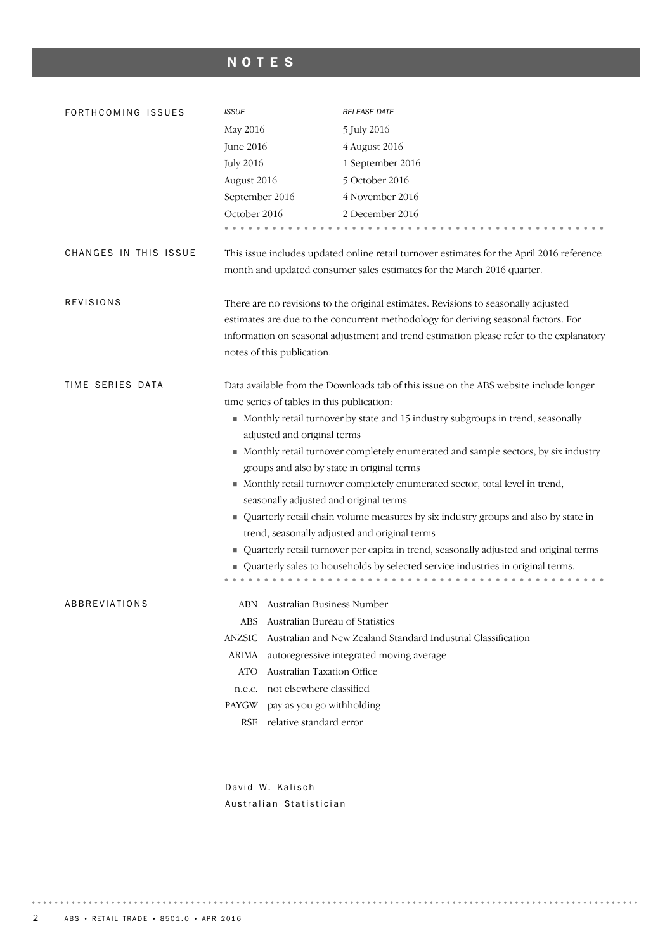## NOTES

| FORTHCOMING ISSUES    | <b>ISSUE</b>                               | <b>RELEASE DATE</b>                                                                                                               |  |  |  |
|-----------------------|--------------------------------------------|-----------------------------------------------------------------------------------------------------------------------------------|--|--|--|
|                       | May 2016                                   | 5 July 2016                                                                                                                       |  |  |  |
|                       | June 2016                                  | 4 August 2016                                                                                                                     |  |  |  |
|                       | <b>July 2016</b>                           | 1 September 2016                                                                                                                  |  |  |  |
|                       | August 2016                                | 5 October 2016                                                                                                                    |  |  |  |
|                       | September 2016                             | 4 November 2016                                                                                                                   |  |  |  |
|                       | October 2016                               | 2 December 2016                                                                                                                   |  |  |  |
|                       |                                            |                                                                                                                                   |  |  |  |
| CHANGES IN THIS ISSUE |                                            | This issue includes updated online retail turnover estimates for the April 2016 reference                                         |  |  |  |
|                       |                                            | month and updated consumer sales estimates for the March 2016 quarter.                                                            |  |  |  |
| REVISIONS             |                                            | There are no revisions to the original estimates. Revisions to seasonally adjusted                                                |  |  |  |
|                       |                                            | estimates are due to the concurrent methodology for deriving seasonal factors. For                                                |  |  |  |
|                       |                                            | information on seasonal adjustment and trend estimation please refer to the explanatory                                           |  |  |  |
|                       | notes of this publication.                 |                                                                                                                                   |  |  |  |
| TIME SERIES DATA      |                                            | Data available from the Downloads tab of this issue on the ABS website include longer                                             |  |  |  |
|                       | time series of tables in this publication: |                                                                                                                                   |  |  |  |
|                       |                                            | • Monthly retail turnover by state and 15 industry subgroups in trend, seasonally                                                 |  |  |  |
|                       | adjusted and original terms                |                                                                                                                                   |  |  |  |
|                       |                                            | • Monthly retail turnover completely enumerated and sample sectors, by six industry<br>groups and also by state in original terms |  |  |  |
|                       |                                            | • Monthly retail turnover completely enumerated sector, total level in trend,                                                     |  |  |  |
|                       |                                            | seasonally adjusted and original terms                                                                                            |  |  |  |
|                       |                                            | ■ Quarterly retail chain volume measures by six industry groups and also by state in                                              |  |  |  |
|                       |                                            | trend, seasonally adjusted and original terms                                                                                     |  |  |  |
|                       |                                            | Quarterly retail turnover per capita in trend, seasonally adjusted and original terms                                             |  |  |  |
|                       |                                            | Quarterly sales to households by selected service industries in original terms.                                                   |  |  |  |
|                       |                                            |                                                                                                                                   |  |  |  |
| ABBREVIATIONS         | ABN Australian Business Number             |                                                                                                                                   |  |  |  |
|                       | ABS                                        | Australian Bureau of Statistics                                                                                                   |  |  |  |
|                       | <b>ANZSIC</b>                              | Australian and New Zealand Standard Industrial Classification                                                                     |  |  |  |
|                       | ARIMA                                      | autoregressive integrated moving average                                                                                          |  |  |  |
|                       | Australian Taxation Office<br><b>ATO</b>   |                                                                                                                                   |  |  |  |
|                       | not elsewhere classified<br>n.e.c.         |                                                                                                                                   |  |  |  |
|                       | PAYGW                                      | pay-as-you-go withholding                                                                                                         |  |  |  |
|                       | relative standard error<br>RSE             |                                                                                                                                   |  |  |  |
|                       |                                            |                                                                                                                                   |  |  |  |

David W. Kalisch Australian Statistician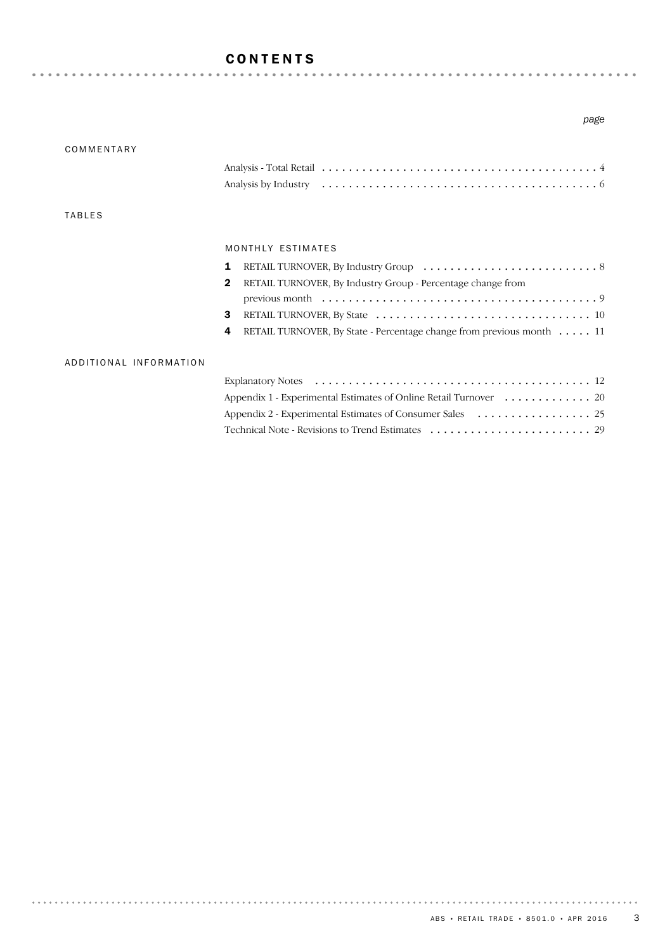#### CONTENTS

#### *page*

| COMMENTARY             |                                                                             |
|------------------------|-----------------------------------------------------------------------------|
|                        |                                                                             |
|                        |                                                                             |
| <b>TABLES</b>          |                                                                             |
|                        | MONTHLY ESTIMATES                                                           |
|                        | 1                                                                           |
|                        | RETAIL TURNOVER, By Industry Group - Percentage change from<br>$\mathbf{2}$ |
|                        |                                                                             |
|                        | 3                                                                           |
|                        | RETAIL TURNOVER, By State - Percentage change from previous month 11<br>4   |
| ADDITIONAL INFORMATION |                                                                             |
|                        |                                                                             |
|                        | Appendix 1 - Experimental Estimates of Online Retail Turnover 20            |
|                        |                                                                             |
|                        |                                                                             |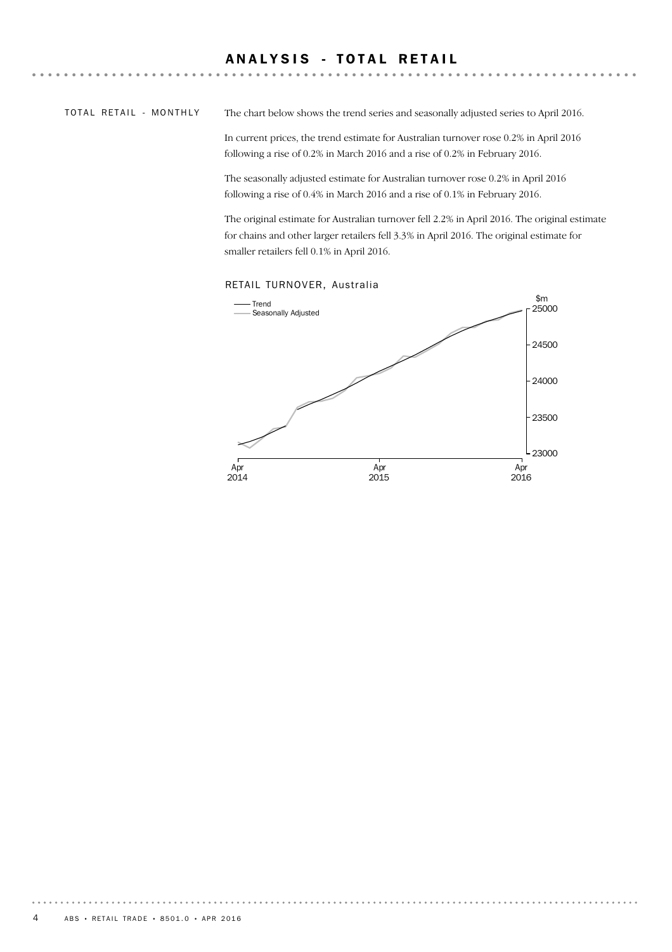#### ANALYSIS - TOTAL RETAIL

TOTAL RETAIL - MONTHLY

The chart below shows the trend series and seasonally adjusted series to April 2016.

In current prices, the trend estimate for Australian turnover rose 0.2% in April 2016 following a rise of 0.2% in March 2016 and a rise of 0.2% in February 2016.

The seasonally adjusted estimate for Australian turnover rose 0.2% in April 2016 following a rise of 0.4% in March 2016 and a rise of 0.1% in February 2016.

The original estimate for Australian turnover fell 2.2% in April 2016. The original estimate for chains and other larger retailers fell 3.3% in April 2016. The original estimate for smaller retailers fell 0.1% in April 2016.



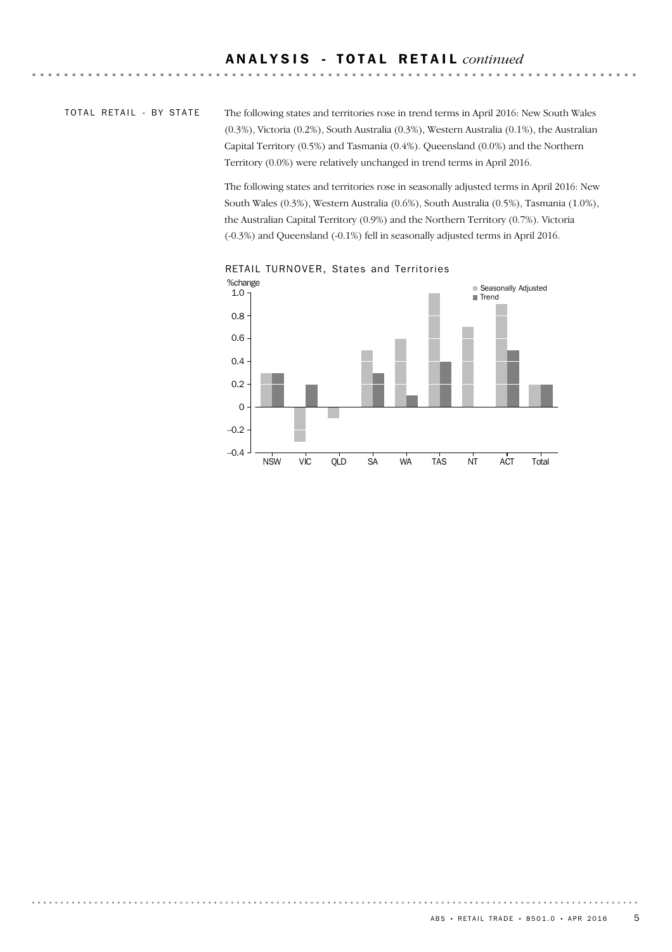#### TOTAL RETAIL - BY STATE

The following states and territories rose in trend terms in April 2016: New South Wales (0.3%), Victoria (0.2%), South Australia (0.3%), Western Australia (0.1%), the Australian Capital Territory (0.5%) and Tasmania (0.4%). Queensland (0.0%) and the Northern Territory (0.0%) were relatively unchanged in trend terms in April 2016.

The following states and territories rose in seasonally adjusted terms in April 2016: New South Wales (0.3%), Western Australia (0.6%), South Australia (0.5%), Tasmania (1.0%), the Australian Capital Territory (0.9%) and the Northern Territory (0.7%). Victoria (-0.3%) and Queensland (-0.1%) fell in seasonally adjusted terms in April 2016.



RETAIL TURNOVER, States and Territories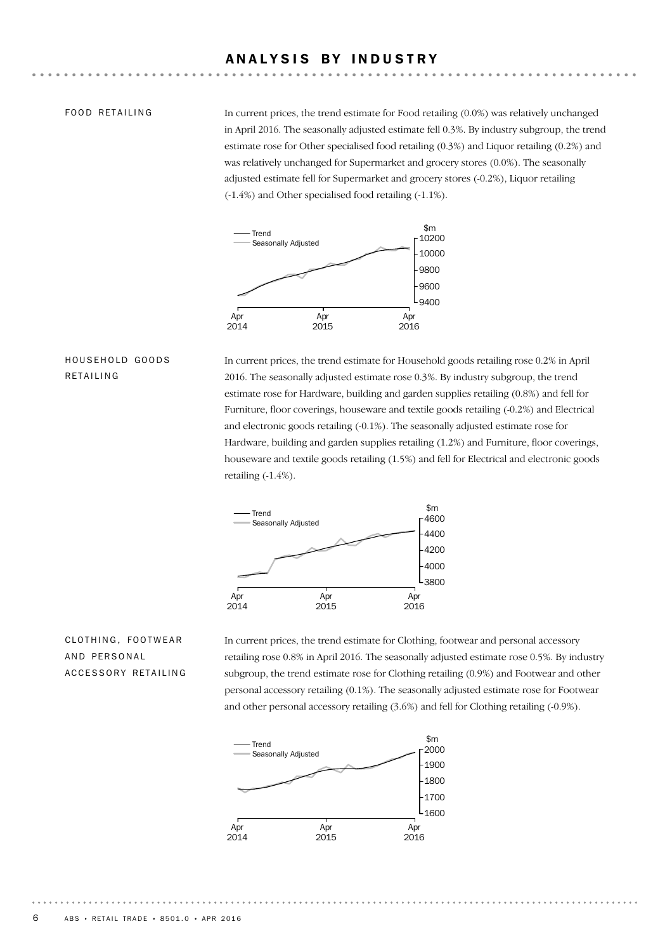#### ANALYSIS BY INDUSTRY

#### FOOD RETAILING

In current prices, the trend estimate for Food retailing (0.0%) was relatively unchanged in April 2016. The seasonally adjusted estimate fell 0.3%. By industry subgroup, the trend estimate rose for Other specialised food retailing (0.3%) and Liquor retailing (0.2%) and was relatively unchanged for Supermarket and grocery stores (0.0%). The seasonally adjusted estimate fell for Supermarket and grocery stores (-0.2%), Liquor retailing (-1.4%) and Other specialised food retailing (-1.1%).



#### HOUSEHOLD GOODS RETAILING

In current prices, the trend estimate for Household goods retailing rose 0.2% in April 2016. The seasonally adjusted estimate rose 0.3%. By industry subgroup, the trend estimate rose for Hardware, building and garden supplies retailing (0.8%) and fell for Furniture, floor coverings, houseware and textile goods retailing (-0.2%) and Electrical and electronic goods retailing (-0.1%). The seasonally adjusted estimate rose for Hardware, building and garden supplies retailing (1.2%) and Furniture, floor coverings, houseware and textile goods retailing (1.5%) and fell for Electrical and electronic goods retailing (-1.4%).



#### CLOTHING, FOOTWEAR AND PERSONAL ACCESSORY RETAILING

In current prices, the trend estimate for Clothing, footwear and personal accessory retailing rose 0.8% in April 2016. The seasonally adjusted estimate rose 0.5%. By industry subgroup, the trend estimate rose for Clothing retailing (0.9%) and Footwear and other personal accessory retailing (0.1%). The seasonally adjusted estimate rose for Footwear and other personal accessory retailing (3.6%) and fell for Clothing retailing (-0.9%).

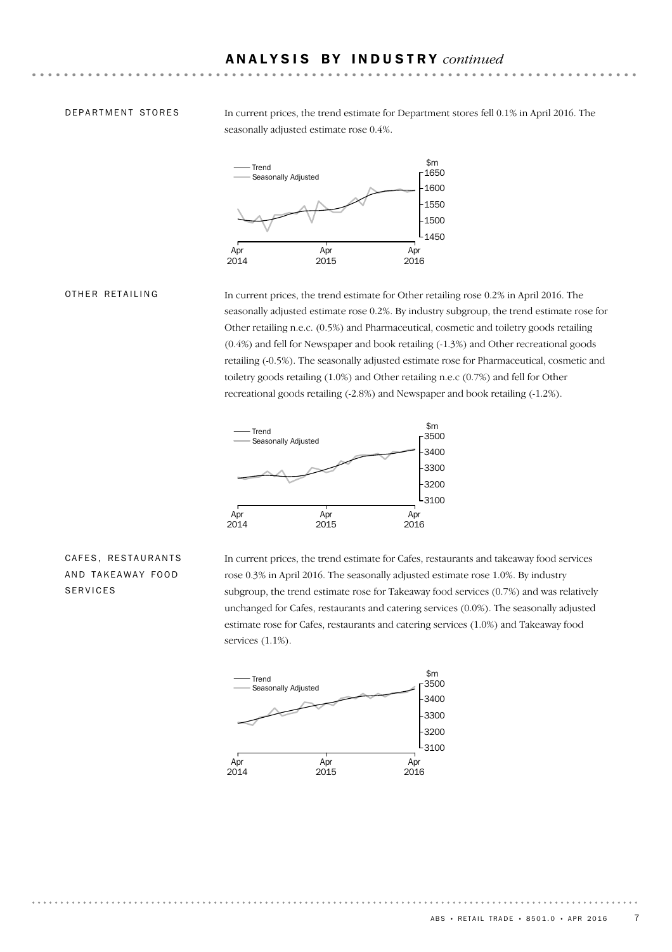#### DEPARTMENT STORES

In current prices, the trend estimate for Department stores fell 0.1% in April 2016. The seasonally adjusted estimate rose 0.4%.



#### OTHER RETAILING

In current prices, the trend estimate for Other retailing rose 0.2% in April 2016. The seasonally adjusted estimate rose 0.2%. By industry subgroup, the trend estimate rose for Other retailing n.e.c. (0.5%) and Pharmaceutical, cosmetic and toiletry goods retailing (0.4%) and fell for Newspaper and book retailing (-1.3%) and Other recreational goods retailing (-0.5%). The seasonally adjusted estimate rose for Pharmaceutical, cosmetic and toiletry goods retailing (1.0%) and Other retailing n.e.c (0.7%) and fell for Other recreational goods retailing (-2.8%) and Newspaper and book retailing (-1.2%).



#### CAFES, RESTAURANTS AND TAKEAWAY FOOD SERVICES

In current prices, the trend estimate for Cafes, restaurants and takeaway food services rose 0.3% in April 2016. The seasonally adjusted estimate rose 1.0%. By industry subgroup, the trend estimate rose for Takeaway food services (0.7%) and was relatively unchanged for Cafes, restaurants and catering services (0.0%). The seasonally adjusted estimate rose for Cafes, restaurants and catering services (1.0%) and Takeaway food services (1.1%).

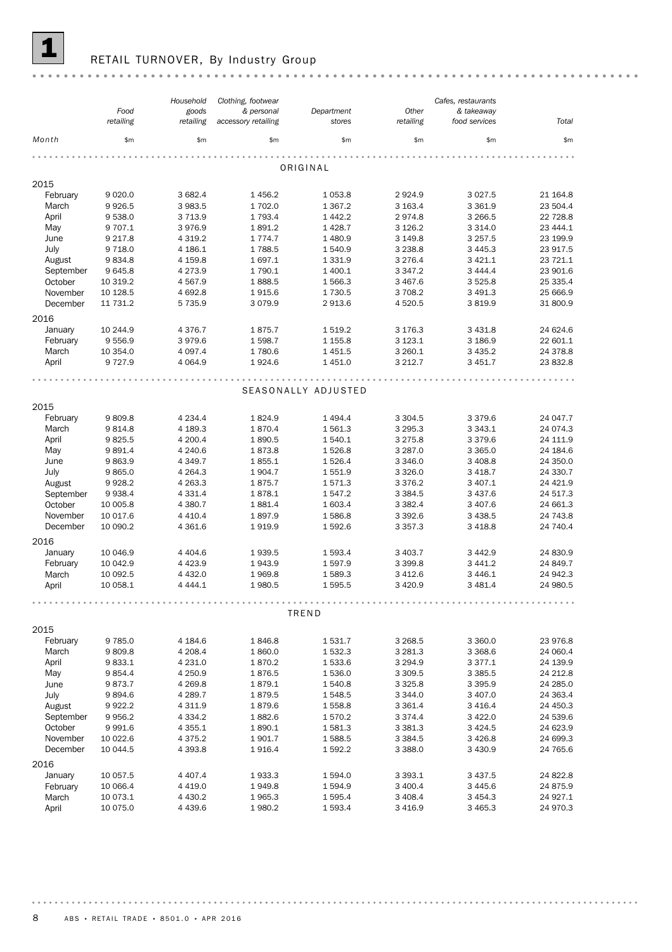

## **1** RETAIL TURNOVER, By Industry Group

|                     |                  | Household          | Clothing, footwear  |                     |                          | Cafes, restaurants      |                      |
|---------------------|------------------|--------------------|---------------------|---------------------|--------------------------|-------------------------|----------------------|
|                     | Food             | goods              | & personal          | Department          | Other                    | & takeaway              |                      |
|                     | retailing        | retailing          | accessory retailing | stores              | retailing                | food services           | Total                |
| Month               | \$m\$            | \$m                | \$m\$               | \$m\$               | \$m\$                    | \$m\$                   | \$m\$                |
|                     |                  |                    |                     |                     |                          |                         |                      |
|                     |                  |                    |                     | ORIGINAL            |                          |                         |                      |
| 2015                |                  |                    |                     |                     |                          |                         |                      |
| February            | 9 0 20.0         | 3 682.4            | 1456.2              | 1 0 5 3.8           | 2924.9                   | 3 0 27.5                | 21 164.8             |
| March               | 9926.5           | 3 983.5            | 1702.0              | 1 3 6 7 . 2         | 3 163.4                  | 3 3 6 1.9               | 23 504.4             |
| April               | 9538.0           | 3 7 1 3.9          | 1 7 9 3.4           | 1 4 4 2.2           | 2974.8                   | 3 2 6 6.5               | 22 728.8             |
| May                 | 9 707.1          | 3976.9             | 1891.2              | 1 4 28.7            | 3 1 2 6.2                | 3 3 1 4 .0              | 23 444.1             |
| June                | 9 2 1 7 . 8      | 4 3 1 9.2          | 1 7 7 4 . 7         | 1 480.9             | 3 149.8                  | 3 2 5 7 . 5             | 23 199.9             |
| July                | 9 7 1 8.0        | 4 186.1            | 1788.5              | 1 540.9             | 3 2 3 8.8                | 3 4 4 5 . 3             | 23 917.5             |
| August              | 9834.8           | 4 1 5 9.8          | 1697.1              | 1 3 3 1.9           | 3 2 7 6.4                | 3 4 2 1.1               | 23 721.1             |
| September           | 9 6 4 5.8        | 4 2 7 3 . 9        | 1790.1              | 1 400.1             | 3 3 4 7 . 2              | 3 4 4 4 .4              | 23 901.6             |
| October             | 10 319.2         | 4 567.9            | 1888.5              | 1566.3              | 3 4 6 7.6                | 3 5 2 5.8               | 25 335.4             |
| November            | 10 128.5         | 4 692.8            | 1915.6              | 1730.5              | 3 708.2                  | 3 4 9 1.3               | 25 666.9             |
| December            | 11 731.2         | 5735.9             | 3079.9              | 2913.6              | 4 5 20.5                 | 3819.9                  | 31 800.9             |
|                     |                  |                    |                     |                     |                          |                         |                      |
| 2016                |                  |                    |                     |                     |                          |                         |                      |
| January             | 10 244.9         | 4 3 7 6 . 7        | 1875.7              | 1519.2              | 3 176.3                  | 3 4 3 1.8               | 24 624.6             |
| February            | 9 5 5 6.9        | 3979.6             | 1598.7              | 1 1 5 5.8           | 3 1 2 3 . 1              | 3 186.9                 | 22 601.1             |
| March               | 10 354.0         | 4 0 9 7.4          | 1780.6              | 1 4 5 1.5           | 3 2 6 0.1                | 3 4 3 5.2               | 24 378.8             |
| April               | 9 7 2 7 . 9      | 4 0 64.9           | 1924.6              | 1 4 5 1.0           | 3 2 1 2.7                | 3 4 5 1.7               | 23 832.8             |
|                     |                  |                    |                     |                     |                          |                         |                      |
|                     |                  |                    |                     | SEASONALLY ADJUSTED |                          |                         |                      |
|                     |                  |                    |                     |                     |                          |                         |                      |
| 2015                |                  |                    |                     |                     |                          |                         |                      |
| February            | 9809.8           | 4 2 3 4 . 4        | 1824.9              | 1 4 9 4 .4          | 3 3 0 4.5                | 3 3 7 9.6               | 24 047.7             |
| March               | 9814.8           | 4 189.3            | 1870.4              | 1561.3              | 3 2 9 5 . 3              | 3 3 4 3 . 1             | 24 074.3             |
| April               | 9825.5           | 4 200.4            | 1890.5              | 1 540.1             | 3 2 7 5.8                | 3 3 7 9.6               | 24 111.9             |
| May                 | 9891.4           | 4 240.6            | 1873.8              | 1526.8              | 3 2 8 7 .0               | 3 3 6 5 . 0             | 24 184.6             |
| June                | 9863.9           | 4 3 4 9.7          | 1855.1              | 1526.4              | 3 3 4 6 .0               | 3 4 0 8.8               | 24 350.0             |
| July                | 9865.0           | 4 2 6 4 .3         | 1904.7              | 1551.9              | 3 3 2 6.0                | 3 4 18.7                | 24 330.7             |
| August              | 9928.2           | 4 2 6 3 . 3        | 1875.7              | 1571.3              | 3 3 7 6.2                | 3 407.1                 | 24 4 21.9            |
| September           | 9938.4           | 4 331.4            | 1878.1              | 1547.2              | 3 3 8 4 .5               | 3 4 3 7.6               | 24 517.3             |
| October             | 10 005.8         | 4 380.7            | 1881.4              | 1 603.4             | 3 3 8 2.4                | 3 407.6                 | 24 661.3             |
| November            | 10 017.6         | 4 4 1 0.4          | 1897.9              | 1586.8              | 3 3 9 2.6                | 3 4 3 8.5               | 24 743.8             |
| December            | 10 090.2         | 4 361.6            | 1919.9              | 1 592.6             | 3 3 5 7 . 3              | 3 4 18.8                | 24 740.4             |
| 2016                |                  |                    |                     |                     |                          |                         |                      |
|                     |                  |                    |                     |                     |                          |                         |                      |
| January             | 10 046.9         | 4 4 0 4 .6         | 1939.5              | 1593.4              | 3 4 0 3.7                | 3 4 4 2.9               | 24 830.9             |
| February            | 10 042.9         | 4 4 2 3.9          | 1943.9              | 1597.9              | 3 3 9 9.8                | 3 4 4 1.2               | 24 849.7             |
| March               | 10 092.5         | 4 4 3 2.0          | 1969.8              | 1589.3              | 3 4 1 2.6                | 3 4 4 6.1               | 24 942.3             |
| April               | 10 058.1         | 4 4 4 4 .1         | 1980.5              | 1595.5              | 3 4 2 0.9                | 3 4 8 1.4               | 24 980.5             |
|                     |                  |                    |                     |                     |                          |                         |                      |
|                     |                  |                    |                     | TREND               |                          |                         |                      |
| 2015                |                  |                    |                     |                     |                          |                         |                      |
| February            | 9785.0           | 4 184.6            | 1846.8              | 1531.7              | 3 2 68.5                 | 3 3 6 0.0               | 23 976.8             |
| March               | 9809.8           | 4 208.4            | 1860.0              | 1532.3              | 3 2 8 1.3                | 3 3 68.6                | 24 060.4             |
| April               | 9833.1           | 4 231.0            | 1870.2              | 1 533.6             | 3 2 9 4.9                | 3 3 7 7 . 1             | 24 139.9             |
| May                 | 9854.4           | 4 250.9            | 1876.5              | 1536.0              | 3 3 0 9.5                | 3 3 8 5 .5              | 24 212.8             |
|                     |                  |                    |                     | 1540.8              |                          |                         |                      |
| June<br>July        | 9873.7<br>9894.6 | 4 269.8<br>4 289.7 | 1879.1<br>1879.5    | 1548.5              | 3 3 2 5 . 8<br>3 3 4 4.0 | 3 3 9 5.9<br>3 4 0 7 .0 | 24 285.0<br>24 363.4 |
|                     | 9922.2           | 4 3 1 1.9          | 1879.6              | 1558.8              | 3 3 6 1.4                | 3 4 1 6.4               | 24 450.3             |
| August<br>September | 9956.2           | 4 3 3 4 . 2        | 1882.6              | 1570.2              | 3 3 7 4 . 4              | 3 4 2 2.0               | 24 539.6             |
| October             |                  |                    |                     |                     |                          |                         |                      |
|                     | 9991.6           | 4 3 5 5.1          | 1890.1              | 1581.3              | 3 3 8 1.3                | 3 4 2 4 .5              | 24 623.9             |
| November            | 10 022.6         | 4 3 7 5 . 2        | 1901.7              | 1588.5              | 3 3 8 4 .5               | 3 4 2 6.8               | 24 699.3             |
| December            | 10 044.5         | 4 3 9 3.8          | 1916.4              | 1592.2              | 3 3 8 8.0                | 3 4 3 0.9               | 24 765.6             |
| 2016                |                  |                    |                     |                     |                          |                         |                      |
| January             | 10 057.5         | 4 4 0 7.4          | 1933.3              | 1594.0              | 3 3 9 3.1                | 3 4 3 7 .5              | 24 822.8             |
| February            | 10 066.4         | 4 419.0            | 1949.8              | 1 594.9             | 3 400.4                  | 3 4 4 5.6               | 24 875.9             |
| March               | 10 073.1         | 4 4 3 0.2          | 1965.3              | 1 595.4             | 3 4 0 8.4                | 3 4 5 4 . 3             | 24 927.1             |
| April               | 10 075.0         | 4 4 3 9.6          | 1980.2              | 1593.4              | 3 4 1 6.9                | 3 4 6 5.3               | 24 970.3             |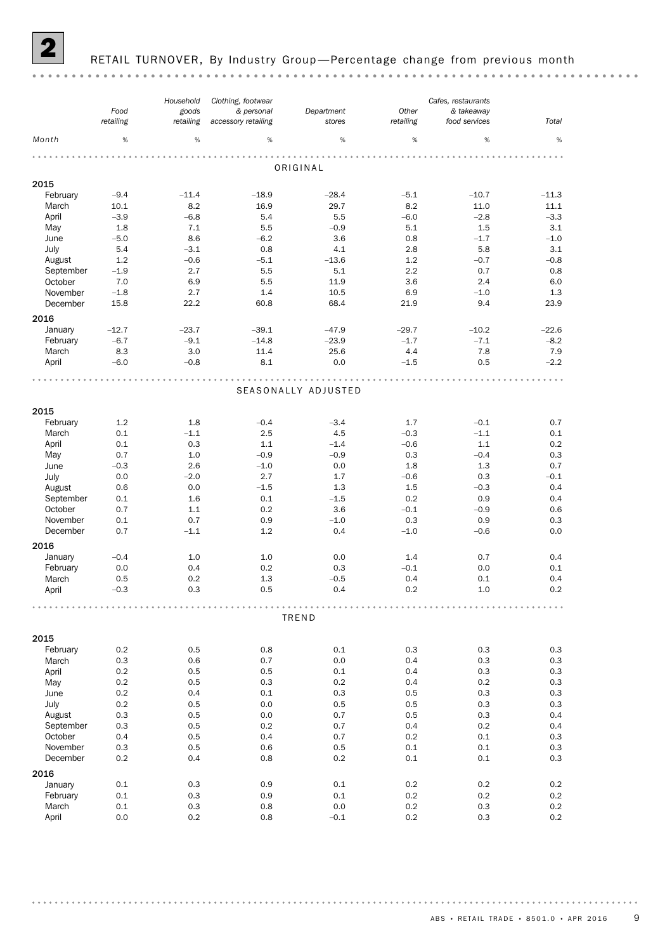

#### RETAIL TURNOVER, By Industry Group-Percentage change from previous month

#### *Cafes, restaurants Clothing, footwear Household Other Food Department & personal goods & takeaway retailing retailing stores accessory retailing retailing food services Total Month* %  $\hspace{0.4cm}$  %  $\hspace{0.4cm}$  %  $\hspace{0.4cm}$  %  $\hspace{0.4cm}$  %  $\hspace{0.4cm}$  %  $\hspace{0.4cm}$  %  $\hspace{0.4cm}$  % ORIGINAL 2015<br>February February –9.4 –11.4 –18.9 –28.4 –5.1 –10.7 –11.3 March 10.1 8.2 16.9 29.7 8.2 11.0 11.1 April –3.9 –6.8 5.4 5.5 –6.0 –2.8 –3.3 May 1.8 7.1 5.5 –0.9 5.1 1.5 3.1 June –5.0 8.6 –6.2 3.6 0.8 –1.7 –1.0 July 5.4 –3.1 0.8 4.1 2.8 5.8 3.1 August 1.2 –0.6 –5.1 –13.6 1.2 –0.7 –0.8 September –1.9 2.7 5.5 5.1 2.2 0.7 0.8 October 7.0 6.9 5.5 11.9 3.6 2.4 6.0 November –1.8 2.7 1.4 10.5 6.9 –1.0 1.3 December 15.8 22.2 60.8 68.4 21.9 9.4 23.9 2016 January –12.7 –23.7 –39.1 –47.9 –29.7 –10.2 –22.6 February –6.7 –9.1 –14.8 –23.9 –1.7 –7.1 –8.2 March 8.3 3.0 11.4 25.6 4.4 7.8 7.9 April –6.0 –0.8 8.1 0.0 –1.5 0.5 –2.2 SEASONALLY ADJUSTED 2015 February 1.2 1.8 –0.4 –3.4 1.7 –0.1 0.7 March 0.1 –1.1 2.5 4.5 –0.3 –1.1 0.1 April 0.1 0.3 1.1 –1.4 –0.6 1.1 0.2 May 0.7 1.0 –0.9 –0.9 0.3 –0.4 0.3 June –0.3 2.6 –1.0 0.0 1.8 1.3 0.7 July 0.0 –2.0 2.7 1.7 –0.6 0.3 –0.1 August 0.6 0.0 –1.5 1.3 1.5 –0.3 0.4 September 0.1 1.6 0.1 –1.5 0.2 0.9 0.4 October 0.7 1.1 0.2 3.6 –0.1 –0.9 0.6 November 0.1 0.7 0.9 – 1.0 0.3 0.9 0.3 December 0.7 –1.1 1.2 0.4 –1.0 –0.6 0.0 2016 January –0.4 1.0 1.0 0.0 1.4 0.7 0.4 February 0.0 0.4 0.2 0.3 –0.1 0.0 0.1 March 0.5 0.2 1.3 –0.5 0.4 0.1 0.4 April –0.3 0.3 0.5 0.4 0.2 1.0 0.2 TREND 2015 February 0.2 0.5 0.8 0.1 0.3 0.3 0.3 March 0.3 0.6 0.7 0.0 0.4 0.3 0.3 April 0.2 0.5 0.5 0.1 0.4 0.3 0.3 May 0.2 0.5 0.3 0.2 0.4 0.2 0.3 June 0.2 0.4 0.1 0.3 0.5 0.3 0.3 July 0.2 0.5 0.0 0.5 0.5 0.3 0.3 August 0.3 0.5 0.0 0.7 0.5 0.3 0.4 September 0.3 0.5 0.2 0.7 0.4 0.2 0.4 October 0.4 0.5 0.4 0.7 0.2 0.1 0.3 November 0.3 0.5 0.6 0.5 0.1 0.1 0.3 December 0.2 0.4 0.8 0.2 0.1 0.1 0.3 2016<br>January January 0.1 0.3 0.9 0.1 0.2 0.2 0.2 February 0.1 0.3 0.9 0.1 0.2 0.2 0.2 March 0.1 0.3 0.8 0.0 0.2 0.3 0.2 April 0.0 0.2 0.8 –0.1 0.2 0.3 0.2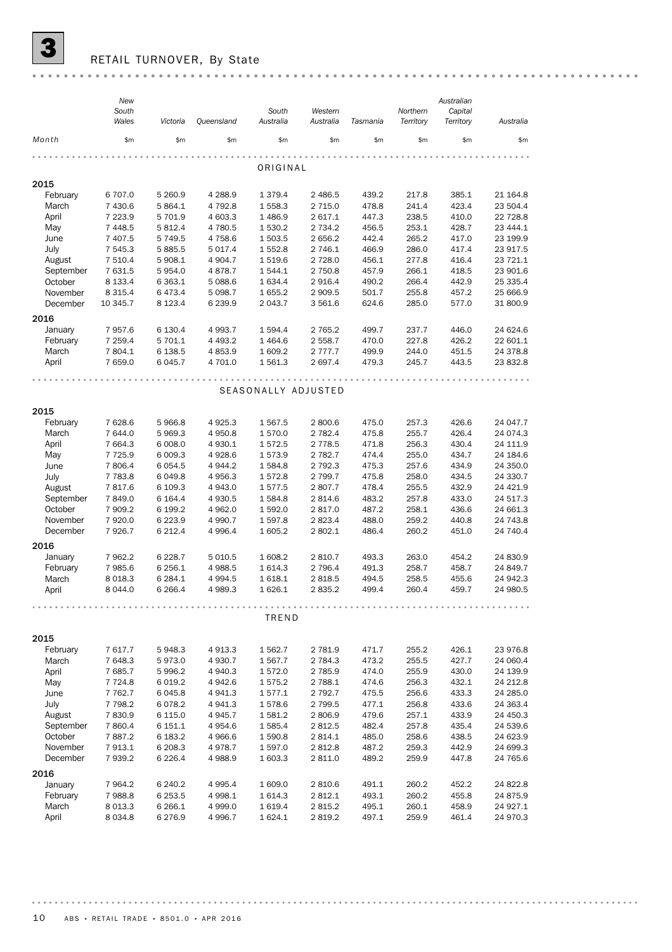

 $\overline{\mathbf{3}}$  RETAIL TURNOVER, By State

|           | New<br>South |             |             | South               | Western     |          | Northern  | Australian<br>Capital |           |
|-----------|--------------|-------------|-------------|---------------------|-------------|----------|-----------|-----------------------|-----------|
|           | Wales        | Victoria    | Queensland  | Australia           | Australia   | Tasmania | Territory | Territory             | Australia |
| Month     | \$m\$        | \$m         | \$m         | \$m                 | \$m         | \$m      | \$m\$     | \$m\$                 | \$m\$     |
|           |              |             |             | ORIGINAL            |             |          |           |                       |           |
| 2015      |              |             |             |                     |             |          |           |                       |           |
| February  | 6 707.0      | 5 260.9     | 4 2 8 8.9   | 1 379.4             | 2 486.5     | 439.2    | 217.8     | 385.1                 | 21 164.8  |
| March     | 7 430.6      | 5 864.1     | 4 792.8     | 1 558.3             | 2 7 1 5.0   | 478.8    | 241.4     | 423.4                 | 23 504.4  |
| April     | 7 2 2 3.9    | 5 701.9     | 4 603.3     | 1 486.9             | 2617.1      | 447.3    | 238.5     | 410.0                 | 22 728.8  |
| May       | 7 4 4 8.5    | 5 8 1 2.4   | 4 780.5     | 1 530.2             | 2 7 3 4 . 2 | 456.5    | 253.1     | 428.7                 | 23 444.1  |
| June      | 7 407.5      | 5 7 4 9.5   | 4 7 5 8.6   | 1 503.5             | 2 656.2     | 442.4    | 265.2     | 417.0                 | 23 199.9  |
| July      | 7 545.3      | 5885.5      | 5 0 1 7 . 4 | 1 552.8             | 2 746.1     | 466.9    | 286.0     | 417.4                 | 23 917.5  |
| August    | 7 510.4      | 5 908.1     | 4 9 04.7    | 1519.6              | 2728.0      | 456.1    | 277.8     | 416.4                 | 23 721.1  |
| September | 7 631.5      | 5954.0      | 4 878.7     | 1544.1              | 2 750.8     | 457.9    | 266.1     | 418.5                 | 23 901.6  |
| October   | 8 1 3 3.4    | 6 3 6 3.1   | 5 0 88.6    | 1 634.4             | 2916.4      | 490.2    | 266.4     | 442.9                 | 25 335.4  |
| November  | 8 3 1 5.4    | 6473.4      | 5 0 98.7    | 1 655.2             | 2 909.5     | 501.7    | 255.8     | 457.2                 | 25 666.9  |
| December  | 10 345.7     | 8 1 2 3 . 4 | 6 2 3 9.9   | 2 043.7             | 3 561.6     | 624.6    | 285.0     | 577.0                 | 31 800.9  |
|           |              |             |             |                     |             |          |           |                       |           |
| 2016      |              |             |             |                     |             |          |           |                       |           |
| January   | 7957.6       | 6 130.4     | 4 9 9 3.7   | 1 594.4             | 2 7 6 5.2   | 499.7    | 237.7     | 446.0                 | 24 624.6  |
| February  | 7 259.4      | 5 701.1     | 4 4 9 3.2   | 1464.6              | 2 558.7     | 470.0    | 227.8     | 426.2                 | 22 601.1  |
| March     | 7804.1       | 6 138.5     | 4 8 5 3.9   | 1 609.2             | 2 7 7 7 . 7 | 499.9    | 244.0     | 451.5                 | 24 378.8  |
| April     | 7 659.0      | 6 0 4 5.7   | 4 701.0     | 1 561.3             | 2 697.4     | 479.3    | 245.7     | 443.5                 | 23 832.8  |
|           |              |             |             |                     |             |          |           |                       |           |
|           |              |             |             | SEASONALLY ADJUSTED |             |          |           |                       |           |
|           |              |             |             |                     |             |          |           |                       |           |
| 2015      |              |             |             |                     |             |          |           |                       |           |
| February  | 7 628.6      | 5966.8      | 4 9 25.3    | 1 567.5             | 2800.6      | 475.0    | 257.3     | 426.6                 | 24 047.7  |
| March     | 7 644.0      | 5969.3      | 4 9 5 0.8   | 1 570.0             | 2 782.4     | 475.8    | 255.7     | 426.4                 | 24 0 74.3 |
| April     | 7 664.3      | 6 0 0 8.0   | 4 9 3 0.1   | 1572.5              | 2 7 7 8.5   | 471.8    | 256.3     | 430.4                 | 24 111.9  |
| May       | 7 7 2 5.9    | 6 0 0 9.3   | 4928.6      | 1573.9              | 2 782.7     | 474.4    | 255.0     | 434.7                 | 24 184.6  |
| June      | 7806.4       | 6 0 5 4.5   | 4 944.2     | 1 5 8 4 . 8         | 2 792.3     | 475.3    | 257.6     | 434.9                 | 24 350.0  |
| July      | 7 7 8 3.8    | 6049.8      | 4 9 5 6.3   | 1572.8              | 2 799.7     | 475.8    | 258.0     | 434.5                 | 24 330.7  |
| August    | 7817.6       | 6 109.3     | 4 943.0     | 1577.5              | 2807.7      | 478.4    | 255.5     | 432.9                 | 24 4 21.9 |
| September | 7849.0       | 6 1 64.4    | 4 9 3 0.5   | 1584.8              | 2814.6      | 483.2    | 257.8     | 433.0                 | 24 517.3  |
| October   | 7 909.2      | 6 199.2     | 4 962.0     | 1 592.0             | 2817.0      | 487.2    | 258.1     | 436.6                 | 24 661.3  |
| November  | 7920.0       | 6 2 2 3.9   | 4 9 9 0.7   | 1 597.8             | 2823.4      | 488.0    | 259.2     | 440.8                 | 24 743.8  |
| December  | 7926.7       | 6 2 1 2.4   | 4 9 9 6.4   | 1 605.2             | 2 802.1     | 486.4    | 260.2     | 451.0                 | 24 740.4  |
| 2016      |              |             |             |                     |             |          |           |                       |           |
| January   | 7 962.2      | 6 2 2 8.7   | 5 0 1 0.5   | 1 608.2             | 2810.7      | 493.3    | 263.0     | 454.2                 | 24 830.9  |
| February  | 7985.6       | 6 256.1     | 4 988.5     | 1 614.3             | 2 796.4     | 491.3    | 258.7     | 458.7                 | 24 849.7  |
| March     | 8 0 18.3     | 6 2 8 4.1   | 4 9 9 4.5   | 1618.1              | 2818.5      | 494.5    | 258.5     | 455.6                 | 24 942.3  |
| April     | 8 0 4 4 .0   | 6 2 6 6.4   | 4 989.3     | 1626.1              | 2835.2      | 499.4    | 260.4     | 459.7                 | 24 980.5  |
|           |              |             |             |                     |             |          |           |                       |           |
|           |              |             |             | TREND               |             |          |           |                       |           |
|           |              |             |             |                     |             |          |           |                       |           |
| 2015      |              |             |             |                     |             |          |           |                       |           |
| February  | 7617.7       | 5948.3      | 4 9 1 3.3   | 1 562.7             | 2 781.9     | 471.7    | 255.2     | 426.1                 | 23 976.8  |
| March     | 7 648.3      | 5973.0      | 4 9 3 0.7   | 1 5 6 7 . 7         | 2 784.3     | 473.2    | 255.5     | 427.7                 | 24 060.4  |
| April     | 7685.7       | 5996.2      | 4 940.3     | 1572.0              | 2 785.9     | 474.0    | 255.9     | 430.0                 | 24 139.9  |
| May       | 7 7 2 4.8    | 6 0 19.2    | 4 942.6     | 1 575.2             | 2 788.1     | 474.6    | 256.3     | 432.1                 | 24 212.8  |
| June      | 7 7 6 2.7    | 6045.8      | 4 941.3     | 1577.1              | 2 792.7     | 475.5    | 256.6     | 433.3                 | 24 285.0  |
| July      | 7 798.2      | 6078.2      | 4 941.3     | 1578.6              | 2 799.5     | 477.1    | 256.8     | 433.6                 | 24 363.4  |
| August    | 7830.9       | 6 1 1 5 . 0 | 4 9 4 5.7   | 1 581.2             | 2806.9      | 479.6    | 257.1     | 433.9                 | 24 450.3  |
| September | 7860.4       | 6 151.1     | 4 9 54.6    | 1 585.4             | 2812.5      | 482.4    | 257.8     | 435.4                 | 24 539.6  |
| October   | 7887.2       | 6 183.2     | 4 9 66.6    | 1 590.8             | 2814.1      | 485.0    | 258.6     | 438.5                 | 24 623.9  |
| November  | 7913.1       | 6 208.3     | 4978.7      | 1 597.0             | 2812.8      | 487.2    | 259.3     | 442.9                 | 24 699.3  |
| December  | 7939.2       | 6 2 2 6.4   | 4 9 8 8.9   | 1 603.3             | 2 811.0     | 489.2    | 259.9     | 447.8                 | 24 765.6  |
|           |              |             |             |                     |             |          |           |                       |           |
| 2016      |              |             |             |                     |             |          |           |                       |           |
| January   | 7 9 64.2     | 6 240.2     | 4 9 9 5.4   | 1 609.0             | 2810.6      | 491.1    | 260.2     | 452.2                 | 24 822.8  |
| February  | 7988.8       | 6 2 5 3.5   | 4 9 98.1    | 1 614.3             | 2812.1      | 493.1    | 260.2     | 455.8                 | 24 875.9  |
| March     | 8 0 13.3     | 6 266.1     | 4 9 9 9.0   | 1 6 1 9.4           | 2815.2      | 495.1    | 260.1     | 458.9                 | 24 927.1  |
| April     | 8 0 3 4.8    | 6276.9      | 4 9 9 6.7   | 1 624.1             | 2819.2      | 497.1    | 259.9     | 461.4                 | 24 970.3  |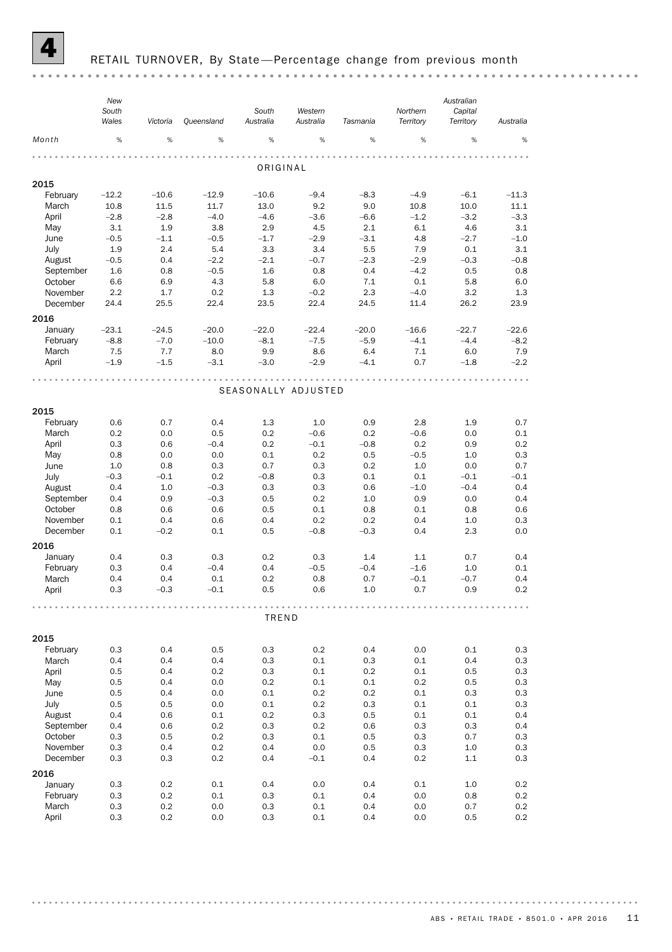

#### RETAIL TURNOVER, By State-Percentage change from previous month

*New Australian South South Western Northern Capital Wales Australia Tasmania Territory Territory Victoria Queensland Australia Australia Month* % % % % % % % % % ORIGINAL 2015 February –12.2 –10.6 –12.9 –10.6 –9.4 –8.3 –4.9 –6.1 –11.3 March 10.8 11.5 11.7 13.0 9.2 9.0 10.8 10.0 11.1 April –2.8 –2.8 –4.0 –4.6 –3.6 –6.6 –1.2 –3.2 –3.3 May 3.1 1.9 3.8 2.9 4.5 2.1 6.1 4.6 3.1 June –0.5 –1.1 –0.5 –1.7 –2.9 –3.1 4.8 –2.7 –1.0 July 1.9 2.4 5.4 3.3 3.4 5.5 7.9 0.1 3.1 August –0.5 0.4 –2.2 –2.1 –0.7 –2.3 –2.9 –0.3 –0.8 September 1.6 0.8 –0.5 1.6 0.8 0.4 –4.2 0.5 0.8 October 6.6 6.9 4.3 5.8 6.0 7.1 0.1 5.8 6.0 November 2.2 1.7 0.2 1.3 –0.2 2.3 –4.0 3.2 1.3 December 24.4 25.5 22.4 23.5 22.4 24.5 11.4 26.2 23.9 2016 January –23.1 –24.5 –20.0 –22.0 –22.4 –20.0 –16.6 –22.7 –22.6 February –8.8 –7.0 –10.0 –8.1 –7.5 –5.9 –4.1 –4.4 –8.2 March 7.5 7.7 8.0 9.9 8.6 6.4 7.1 6.0 7.9 April –1.9 –1.5 –3.1 –3.0 –2.9 –4.1 0.7 –1.8 –2.2 SEASONALLY ADJUSTED 2015 February 0.6 0.7 0.4 1.3 1.0 0.9 2.8 1.9 0.7 March 0.2 0.0 0.5 0.2 –0.6 0.2 –0.6 0.0 0.1 April 0.3 0.6 –0.4 0.2 –0.1 –0.8 0.2 0.9 0.2 May 0.8 0.0 0.0 0.1 0.2 0.5 –0.5 1.0 0.3 June 1.0 0.8 0.3 0.7 0.3 0.2 1.0 0.0 0.7 July –0.3 –0.1 0.2 –0.8 0.3 0.1 0.1 –0.1 –0.1 August 0.4 1.0 –0.3 0.3 0.3 0.6 –1.0 –0.4 0.4 September 0.4 0.9 –0.3 0.5 0.2 1.0 0.9 0.0 0.4 October 0.8 0.6 0.6 0.5 0.1 0.8 0.1 0.8 0.6 November 0.1 0.4 0.6 0.4 0.2 0.2 0.4 1.0 0.3 December 0.1 –0.2 0.1 0.5 –0.8 –0.3 0.4 2.3 0.0 2016 January 0.4 0.3 0.3 0.2 0.3 1.4 1.1 0.7 0.4 February 0.3 0.4 –0.4 0.4 –0.5 –0.4 –1.6 1.0 0.1 March 0.4 0.4 0.1 0.2 0.8 0.7 –0.1 –0.7 0.4 April 0.3 –0.3 –0.1 0.5 0.6 1.0 0.7 0.9 0.2 TREND 2015 February 0.3 0.4 0.5 0.3 0.2 0.4 0.0 0.1 0.3 March 0.4 0.4 0.4 0.3 0.1 0.3 0.1 0.4 0.3 April 0.5 0.4 0.2 0.3 0.1 0.2 0.1 0.5 0.3 May 0.5 0.4 0.0 0.2 0.1 0.1 0.2 0.5 0.3 June 0.5 0.4 0.0 0.1 0.2 0.2 0.1 0.3 0.3 July 0.5 0.5 0.0 0.1 0.2 0.3 0.1 0.1 0.3 August 0.4 0.6 0.1 0.2 0.3 0.5 0.1 0.1 0.4 September 0.4 0.6 0.2 0.3 0.2 0.6 0.3 0.3 0.4 October 0.3 0.5 0.2 0.3 0.1 0.5 0.3 0.7 0.3 November 0.3 0.4 0.2 0.4 0.0 0.5 0.3 1.0 0.3 December 0.3 0.3 0.2 0.4 –0.1 0.4 0.2 1.1 0.3 2016<br>January January 0.3 0.2 0.1 0.4 0.0 0.4 0.1 1.0 0.2 February 0.3 0.2 0.1 0.3 0.1 0.4 0.0 0.8 0.2 March 0.3 0.2 0.0 0.3 0.1 0.4 0.0 0.7 0.2 April 0.3 0.2 0.0 0.3 0.1 0.4 0.0 0.5 0.2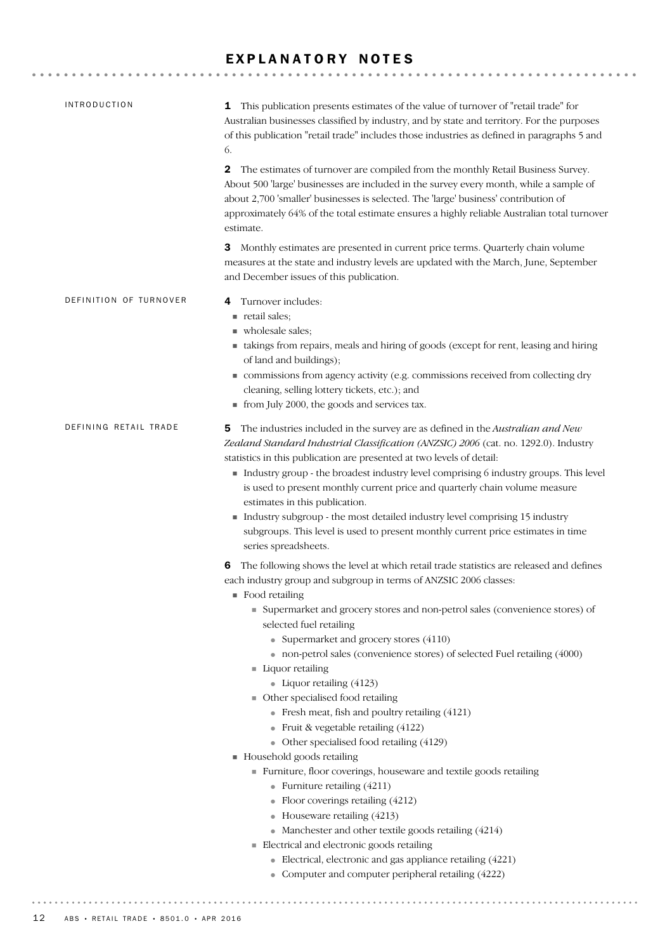#### EXPLANATORY NOTES

| <b>INTRODUCTION</b>    | This publication presents estimates of the value of turnover of "retail trade" for<br>1<br>Australian businesses classified by industry, and by state and territory. For the purposes<br>of this publication "retail trade" includes those industries as defined in paragraphs 5 and<br>6.                                                                                                                                                                                                                                                                                                                                                                                                                                                                                                                                                                                                                                                                                                                                                                                                                      |
|------------------------|-----------------------------------------------------------------------------------------------------------------------------------------------------------------------------------------------------------------------------------------------------------------------------------------------------------------------------------------------------------------------------------------------------------------------------------------------------------------------------------------------------------------------------------------------------------------------------------------------------------------------------------------------------------------------------------------------------------------------------------------------------------------------------------------------------------------------------------------------------------------------------------------------------------------------------------------------------------------------------------------------------------------------------------------------------------------------------------------------------------------|
|                        | The estimates of turnover are compiled from the monthly Retail Business Survey.<br>2<br>About 500 'large' businesses are included in the survey every month, while a sample of<br>about 2,700 'smaller' businesses is selected. The 'large' business' contribution of<br>approximately 64% of the total estimate ensures a highly reliable Australian total turnover<br>estimate.                                                                                                                                                                                                                                                                                                                                                                                                                                                                                                                                                                                                                                                                                                                               |
|                        | 3 Monthly estimates are presented in current price terms. Quarterly chain volume<br>measures at the state and industry levels are updated with the March, June, September<br>and December issues of this publication.                                                                                                                                                                                                                                                                                                                                                                                                                                                                                                                                                                                                                                                                                                                                                                                                                                                                                           |
| DEFINITION OF TURNOVER | Turnover includes:<br>4<br>retail sales;<br>wholesale sales;<br>• takings from repairs, meals and hiring of goods (except for rent, leasing and hiring<br>of land and buildings);<br>commissions from agency activity (e.g. commissions received from collecting dry<br>cleaning, selling lottery tickets, etc.); and<br>• from July 2000, the goods and services tax.                                                                                                                                                                                                                                                                                                                                                                                                                                                                                                                                                                                                                                                                                                                                          |
| DEFINING RETAIL TRADE  | The industries included in the survey are as defined in the Australian and New<br>5<br>Zealand Standard Industrial Classification (ANZSIC) 2006 (cat. no. 1292.0). Industry<br>statistics in this publication are presented at two levels of detail:<br>Industry group - the broadest industry level comprising 6 industry groups. This level<br>is used to present monthly current price and quarterly chain volume measure<br>estimates in this publication.<br>Industry subgroup - the most detailed industry level comprising 15 industry<br>subgroups. This level is used to present monthly current price estimates in time<br>series spreadsheets.                                                                                                                                                                                                                                                                                                                                                                                                                                                       |
|                        | The following shows the level at which retail trade statistics are released and defines<br>6<br>each industry group and subgroup in terms of ANZSIC 2006 classes:<br>$\blacksquare$ Food retailing<br>• Supermarket and grocery stores and non-petrol sales (convenience stores) of<br>selected fuel retailing<br>• Supermarket and grocery stores (4110)<br>• non-petrol sales (convenience stores) of selected Fuel retailing (4000)<br>Liquor retailing<br>• Liquor retailing (4123)<br>• Other specialised food retailing<br>• Fresh meat, fish and poultry retailing (4121)<br>• Fruit & vegetable retailing $(4122)$<br>• Other specialised food retailing (4129)<br>Household goods retailing<br>Furniture, floor coverings, houseware and textile goods retailing<br>• Furniture retailing $(4211)$<br>• Floor coverings retailing (4212)<br>• Houseware retailing (4213)<br>• Manchester and other textile goods retailing $(4214)$<br>Electrical and electronic goods retailing<br>• Electrical, electronic and gas appliance retailing (4221)<br>• Computer and computer peripheral retailing (4222) |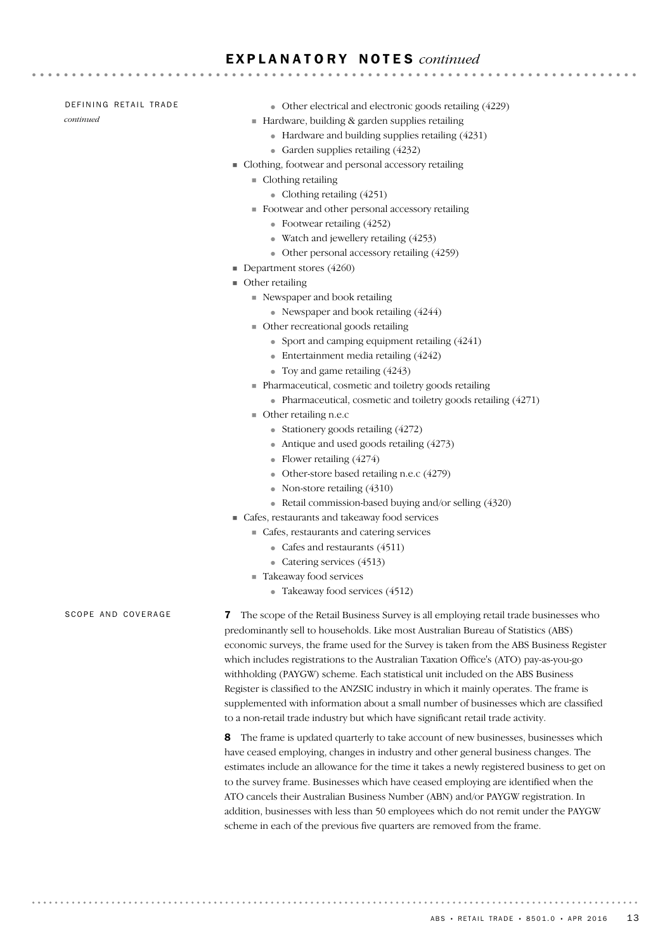#### E X P L A N A T O R Y N O T E S *continued*

#### DEFINING RETAIL TRADE

*continued*

- Other electrical and electronic goods retailing (4229)
- $\blacksquare$  Hardware, building & garden supplies retailing

- Hardware and building supplies retailing (4231)
- Garden supplies retailing (4232)
- Clothing, footwear and personal accessory retailing
	- **Clothing retailing** 
		- Clothing retailing  $(4251)$
	- Footwear and other personal accessory retailing
		- Footwear retailing (4252)
		- Watch and jewellery retailing (4253)
		- Other personal accessory retailing (4259)
- Department stores (4260)
- Other retailing
	- Newspaper and book retailing
		- Newspaper and book retailing (4244)
	- Other recreational goods retailing
		- Sport and camping equipment retailing (4241)
		- Entertainment media retailing (4242)
		- Toy and game retailing  $(4243)$
	- Pharmaceutical, cosmetic and toiletry goods retailing
		- Pharmaceutical, cosmetic and toiletry goods retailing (4271)
	- Other retailing n.e.c
		- Stationery goods retailing  $(4272)$
		- Antique and used goods retailing  $(4273)$
		- Flower retailing (4274)
		- Other-store based retailing n.e.c (4279)
		- Non-store retailing (4310)
		- Retail commission-based buying and/or selling (4320)
- Cafes, restaurants and takeaway food services
	- Cafes, restaurants and catering services
		- Cafes and restaurants (4511)
		- Catering services (4513)
	- Takeaway food services
		- Takeaway food services (4512)

SCOPE AND COVERAGE

7 The scope of the Retail Business Survey is all employing retail trade businesses who predominantly sell to households. Like most Australian Bureau of Statistics (ABS) economic surveys, the frame used for the Survey is taken from the ABS Business Register which includes registrations to the Australian Taxation Office's (ATO) pay-as-you-go withholding (PAYGW) scheme. Each statistical unit included on the ABS Business Register is classified to the ANZSIC industry in which it mainly operates. The frame is supplemented with information about a small number of businesses which are classified to a non-retail trade industry but which have significant retail trade activity.

8 The frame is updated quarterly to take account of new businesses, businesses which have ceased employing, changes in industry and other general business changes. The estimates include an allowance for the time it takes a newly registered business to get on to the survey frame. Businesses which have ceased employing are identified when the ATO cancels their Australian Business Number (ABN) and/or PAYGW registration. In addition, businesses with less than 50 employees which do not remit under the PAYGW scheme in each of the previous five quarters are removed from the frame.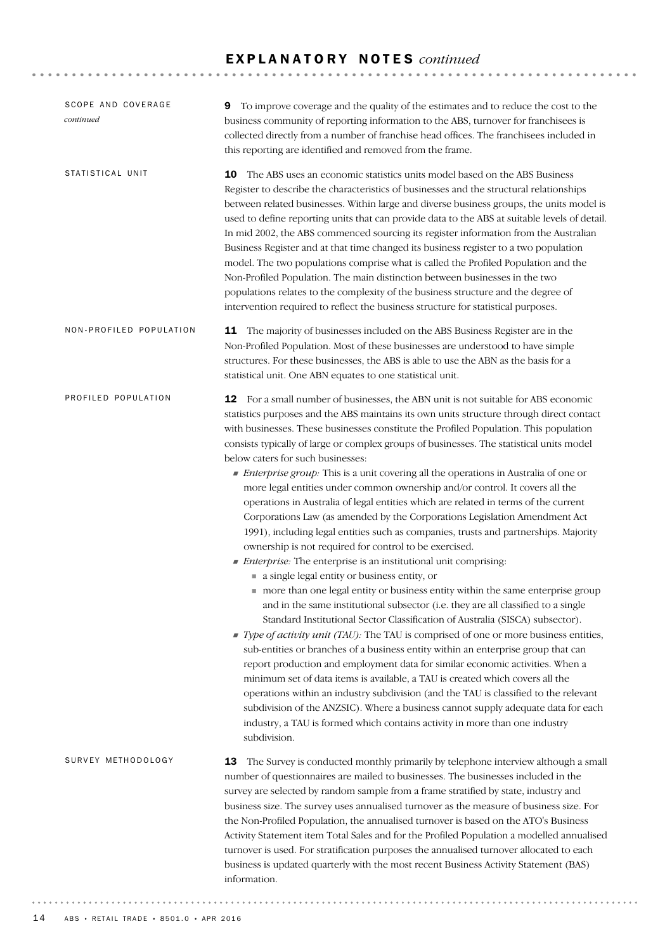#### E X P L A N A T O R Y N O T E S *continued*

| SCOPE AND COVERAGE<br>continued | To improve coverage and the quality of the estimates and to reduce the cost to the<br>9<br>business community of reporting information to the ABS, turnover for franchisees is<br>collected directly from a number of franchise head offices. The franchisees included in<br>this reporting are identified and removed from the frame.                                                                                                                                                                                                                                                                                                                                                                                                                                                                                                                                                                                                                                                                                                                                                                                                                                                                                                                                                                                                                                                                                                                                                                                                                                                                                                                                                                                                                                                                                                                                                                               |
|---------------------------------|----------------------------------------------------------------------------------------------------------------------------------------------------------------------------------------------------------------------------------------------------------------------------------------------------------------------------------------------------------------------------------------------------------------------------------------------------------------------------------------------------------------------------------------------------------------------------------------------------------------------------------------------------------------------------------------------------------------------------------------------------------------------------------------------------------------------------------------------------------------------------------------------------------------------------------------------------------------------------------------------------------------------------------------------------------------------------------------------------------------------------------------------------------------------------------------------------------------------------------------------------------------------------------------------------------------------------------------------------------------------------------------------------------------------------------------------------------------------------------------------------------------------------------------------------------------------------------------------------------------------------------------------------------------------------------------------------------------------------------------------------------------------------------------------------------------------------------------------------------------------------------------------------------------------|
| STATISTICAL UNIT                | 10<br>The ABS uses an economic statistics units model based on the ABS Business<br>Register to describe the characteristics of businesses and the structural relationships<br>between related businesses. Within large and diverse business groups, the units model is<br>used to define reporting units that can provide data to the ABS at suitable levels of detail.<br>In mid 2002, the ABS commenced sourcing its register information from the Australian<br>Business Register and at that time changed its business register to a two population<br>model. The two populations comprise what is called the Profiled Population and the<br>Non-Profiled Population. The main distinction between businesses in the two<br>populations relates to the complexity of the business structure and the degree of<br>intervention required to reflect the business structure for statistical purposes.                                                                                                                                                                                                                                                                                                                                                                                                                                                                                                                                                                                                                                                                                                                                                                                                                                                                                                                                                                                                               |
| NON-PROFILED POPULATION         | 11 The majority of businesses included on the ABS Business Register are in the<br>Non-Profiled Population. Most of these businesses are understood to have simple<br>structures. For these businesses, the ABS is able to use the ABN as the basis for a<br>statistical unit. One ABN equates to one statistical unit.                                                                                                                                                                                                                                                                                                                                                                                                                                                                                                                                                                                                                                                                                                                                                                                                                                                                                                                                                                                                                                                                                                                                                                                                                                                                                                                                                                                                                                                                                                                                                                                               |
| PROFILED POPULATION             | 12 For a small number of businesses, the ABN unit is not suitable for ABS economic<br>statistics purposes and the ABS maintains its own units structure through direct contact<br>with businesses. These businesses constitute the Profiled Population. This population<br>consists typically of large or complex groups of businesses. The statistical units model<br>below caters for such businesses:<br>• Enterprise group: This is a unit covering all the operations in Australia of one or<br>more legal entities under common ownership and/or control. It covers all the<br>operations in Australia of legal entities which are related in terms of the current<br>Corporations Law (as amended by the Corporations Legislation Amendment Act<br>1991), including legal entities such as companies, trusts and partnerships. Majority<br>ownership is not required for control to be exercised.<br><i>Enterprise:</i> The enterprise is an institutional unit comprising:<br>a single legal entity or business entity, or<br>more than one legal entity or business entity within the same enterprise group<br>and in the same institutional subsector (i.e. they are all classified to a single<br>Standard Institutional Sector Classification of Australia (SISCA) subsector).<br>Type of activity unit (TAU): The TAU is comprised of one or more business entities,<br>sub-entities or branches of a business entity within an enterprise group that can<br>report production and employment data for similar economic activities. When a<br>minimum set of data items is available, a TAU is created which covers all the<br>operations within an industry subdivision (and the TAU is classified to the relevant<br>subdivision of the ANZSIC). Where a business cannot supply adequate data for each<br>industry, a TAU is formed which contains activity in more than one industry<br>subdivision. |
| SURVEY METHODOLOGY              | The Survey is conducted monthly primarily by telephone interview although a small<br>13<br>number of questionnaires are mailed to businesses. The businesses included in the<br>survey are selected by random sample from a frame stratified by state, industry and<br>business size. The survey uses annualised turnover as the measure of business size. For<br>the Non-Profiled Population, the annualised turnover is based on the ATO's Business<br>Activity Statement item Total Sales and for the Profiled Population a modelled annualised<br>turnover is used. For stratification purposes the annualised turnover allocated to each<br>business is updated quarterly with the most recent Business Activity Statement (BAS)<br>information.                                                                                                                                                                                                                                                                                                                                                                                                                                                                                                                                                                                                                                                                                                                                                                                                                                                                                                                                                                                                                                                                                                                                                                |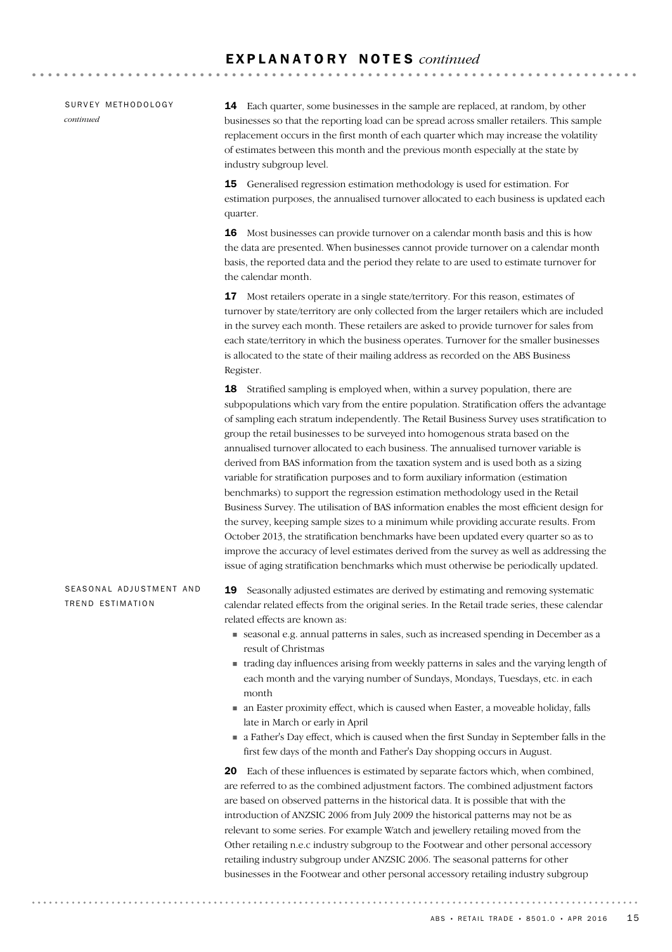SURVEY METHODOLOGY *continued*

14 Each quarter, some businesses in the sample are replaced, at random, by other businesses so that the reporting load can be spread across smaller retailers. This sample replacement occurs in the first month of each quarter which may increase the volatility of estimates between this month and the previous month especially at the state by industry subgroup level.

15 Generalised regression estimation methodology is used for estimation. For estimation purposes, the annualised turnover allocated to each business is updated each quarter.

16 Most businesses can provide turnover on a calendar month basis and this is how the data are presented. When businesses cannot provide turnover on a calendar month basis, the reported data and the period they relate to are used to estimate turnover for the calendar month.

17 Most retailers operate in a single state/territory. For this reason, estimates of turnover by state/territory are only collected from the larger retailers which are included in the survey each month. These retailers are asked to provide turnover for sales from each state/territory in which the business operates. Turnover for the smaller businesses is allocated to the state of their mailing address as recorded on the ABS Business Register.

18 Stratified sampling is employed when, within a survey population, there are subpopulations which vary from the entire population. Stratification offers the advantage of sampling each stratum independently. The Retail Business Survey uses stratification to group the retail businesses to be surveyed into homogenous strata based on the annualised turnover allocated to each business. The annualised turnover variable is derived from BAS information from the taxation system and is used both as a sizing variable for stratification purposes and to form auxiliary information (estimation benchmarks) to support the regression estimation methodology used in the Retail Business Survey. The utilisation of BAS information enables the most efficient design for the survey, keeping sample sizes to a minimum while providing accurate results. From October 2013, the stratification benchmarks have been updated every quarter so as to improve the accuracy of level estimates derived from the survey as well as addressing the issue of aging stratification benchmarks which must otherwise be periodically updated.

#### SEASONAL ADJUSTMENT AND TREND ESTIMATION

19 Seasonally adjusted estimates are derived by estimating and removing systematic calendar related effects from the original series. In the Retail trade series, these calendar related effects are known as:

- seasonal e.g. annual patterns in sales, such as increased spending in December as a result of Christmas
- trading day influences arising from weekly patterns in sales and the varying length of each month and the varying number of Sundays, Mondays, Tuesdays, etc. in each month
- an Easter proximity effect, which is caused when Easter, a moveable holiday, falls late in March or early in April
- a Father's Day effect, which is caused when the first Sunday in September falls in the first few days of the month and Father's Day shopping occurs in August.

20 Each of these influences is estimated by separate factors which, when combined, are referred to as the combined adjustment factors. The combined adjustment factors are based on observed patterns in the historical data. It is possible that with the introduction of ANZSIC 2006 from July 2009 the historical patterns may not be as relevant to some series. For example Watch and jewellery retailing moved from the Other retailing n.e.c industry subgroup to the Footwear and other personal accessory retailing industry subgroup under ANZSIC 2006. The seasonal patterns for other businesses in the Footwear and other personal accessory retailing industry subgroup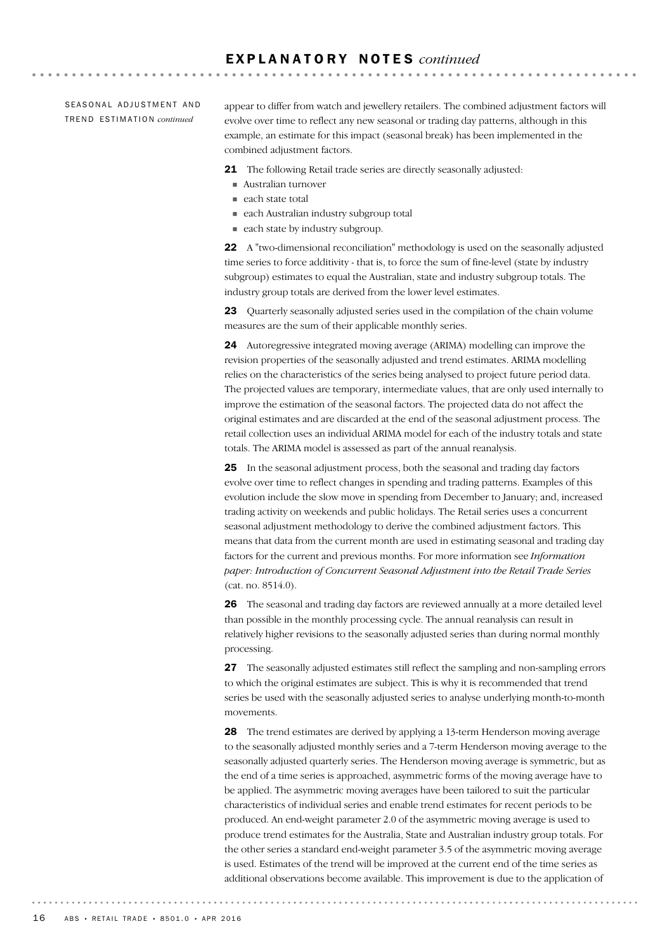SEASONAL ADJUSTMENT AND TR E N D ES T I M A T I O N *continued*

appear to differ from watch and jewellery retailers. The combined adjustment factors will evolve over time to reflect any new seasonal or trading day patterns, although in this example, an estimate for this impact (seasonal break) has been implemented in the combined adjustment factors.

**AAAAAAAAAA** 

21 The following Retail trade series are directly seasonally adjusted:

- Australian turnover
- $\blacksquare$  each state total
- each Australian industry subgroup total
- each state by industry subgroup.

22 A "two-dimensional reconciliation" methodology is used on the seasonally adjusted time series to force additivity - that is, to force the sum of fine-level (state by industry subgroup) estimates to equal the Australian, state and industry subgroup totals. The industry group totals are derived from the lower level estimates.

23 Ouarterly seasonally adjusted series used in the compilation of the chain volume measures are the sum of their applicable monthly series.

24 Autoregressive integrated moving average (ARIMA) modelling can improve the revision properties of the seasonally adjusted and trend estimates. ARIMA modelling relies on the characteristics of the series being analysed to project future period data. The projected values are temporary, intermediate values, that are only used internally to improve the estimation of the seasonal factors. The projected data do not affect the original estimates and are discarded at the end of the seasonal adjustment process. The retail collection uses an individual ARIMA model for each of the industry totals and state totals. The ARIMA model is assessed as part of the annual reanalysis.

25 In the seasonal adjustment process, both the seasonal and trading day factors evolve over time to reflect changes in spending and trading patterns. Examples of this evolution include the slow move in spending from December to January; and, increased trading activity on weekends and public holidays. The Retail series uses a concurrent seasonal adjustment methodology to derive the combined adjustment factors. This means that data from the current month are used in estimating seasonal and trading day factors for the current and previous months. For more information see *Information paper: Introduction of Concurrent Seasonal Adjustment into the Retail Trade Series* (cat. no. 8514.0).

26 The seasonal and trading day factors are reviewed annually at a more detailed level than possible in the monthly processing cycle. The annual reanalysis can result in relatively higher revisions to the seasonally adjusted series than during normal monthly processing.

27 The seasonally adjusted estimates still reflect the sampling and non-sampling errors to which the original estimates are subject. This is why it is recommended that trend series be used with the seasonally adjusted series to analyse underlying month-to-month movements.

28 The trend estimates are derived by applying a 13-term Henderson moving average to the seasonally adjusted monthly series and a 7-term Henderson moving average to the seasonally adjusted quarterly series. The Henderson moving average is symmetric, but as the end of a time series is approached, asymmetric forms of the moving average have to be applied. The asymmetric moving averages have been tailored to suit the particular characteristics of individual series and enable trend estimates for recent periods to be produced. An end-weight parameter 2.0 of the asymmetric moving average is used to produce trend estimates for the Australia, State and Australian industry group totals. For the other series a standard end-weight parameter 3.5 of the asymmetric moving average is used. Estimates of the trend will be improved at the current end of the time series as additional observations become available. This improvement is due to the application of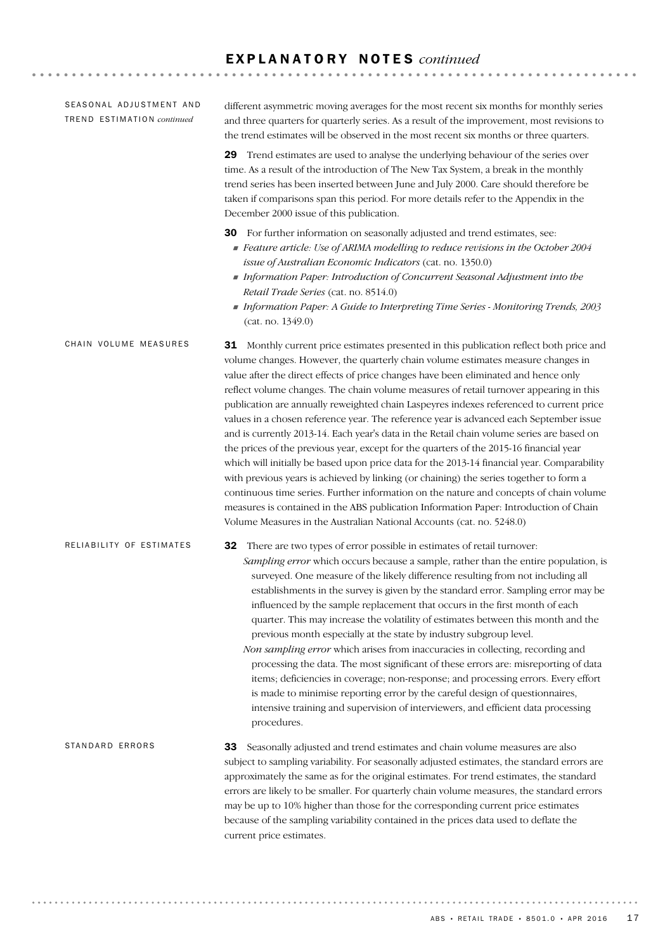#### E X P L A N A T O R Y N O T E S *continued*

| SEASONAL ADJUSTMENT AND<br>TREND ESTIMATION continued | different asymmetric moving averages for the most recent six months for monthly series<br>and three quarters for quarterly series. As a result of the improvement, most revisions to<br>the trend estimates will be observed in the most recent six months or three quarters.<br>29 Trend estimates are used to analyse the underlying behaviour of the series over<br>time. As a result of the introduction of The New Tax System, a break in the monthly<br>trend series has been inserted between June and July 2000. Care should therefore be<br>taken if comparisons span this period. For more details refer to the Appendix in the<br>December 2000 issue of this publication.                                                                                                                                                                                                                                                                                                                                                                                                                                                                                                                |
|-------------------------------------------------------|------------------------------------------------------------------------------------------------------------------------------------------------------------------------------------------------------------------------------------------------------------------------------------------------------------------------------------------------------------------------------------------------------------------------------------------------------------------------------------------------------------------------------------------------------------------------------------------------------------------------------------------------------------------------------------------------------------------------------------------------------------------------------------------------------------------------------------------------------------------------------------------------------------------------------------------------------------------------------------------------------------------------------------------------------------------------------------------------------------------------------------------------------------------------------------------------------|
|                                                       | 30 For further information on seasonally adjusted and trend estimates, see:<br>Feature article: Use of ARIMA modelling to reduce revisions in the October 2004<br>issue of Australian Economic Indicators (cat. no. 1350.0)<br>Information Paper: Introduction of Concurrent Seasonal Adjustment into the<br>Retail Trade Series (cat. no. 8514.0)<br>Information Paper: A Guide to Interpreting Time Series - Monitoring Trends, 2003<br>(cat. no. 1349.0)                                                                                                                                                                                                                                                                                                                                                                                                                                                                                                                                                                                                                                                                                                                                          |
| CHAIN VOLUME MEASURES                                 | <b>31</b> Monthly current price estimates presented in this publication reflect both price and<br>volume changes. However, the quarterly chain volume estimates measure changes in<br>value after the direct effects of price changes have been eliminated and hence only<br>reflect volume changes. The chain volume measures of retail turnover appearing in this<br>publication are annually reweighted chain Laspeyres indexes referenced to current price<br>values in a chosen reference year. The reference year is advanced each September issue<br>and is currently 2013-14. Each year's data in the Retail chain volume series are based on<br>the prices of the previous year, except for the quarters of the 2015-16 financial year<br>which will initially be based upon price data for the 2013-14 financial year. Comparability<br>with previous years is achieved by linking (or chaining) the series together to form a<br>continuous time series. Further information on the nature and concepts of chain volume<br>measures is contained in the ABS publication Information Paper: Introduction of Chain<br>Volume Measures in the Australian National Accounts (cat. no. 5248.0) |
| RELIABILITY OF ESTIMATES                              | There are two types of error possible in estimates of retail turnover:<br>32<br>Sampling error which occurs because a sample, rather than the entire population, is<br>surveyed. One measure of the likely difference resulting from not including all<br>establishments in the survey is given by the standard error. Sampling error may be<br>influenced by the sample replacement that occurs in the first month of each<br>quarter. This may increase the volatility of estimates between this month and the<br>previous month especially at the state by industry subgroup level.<br>Non sampling error which arises from inaccuracies in collecting, recording and<br>processing the data. The most significant of these errors are: misreporting of data<br>items; deficiencies in coverage; non-response; and processing errors. Every effort<br>is made to minimise reporting error by the careful design of questionnaires,<br>intensive training and supervision of interviewers, and efficient data processing<br>procedures.                                                                                                                                                            |
| STANDARD ERRORS                                       | Seasonally adjusted and trend estimates and chain volume measures are also<br>33<br>subject to sampling variability. For seasonally adjusted estimates, the standard errors are<br>approximately the same as for the original estimates. For trend estimates, the standard<br>errors are likely to be smaller. For quarterly chain volume measures, the standard errors<br>may be up to 10% higher than those for the corresponding current price estimates<br>because of the sampling variability contained in the prices data used to deflate the<br>current price estimates.                                                                                                                                                                                                                                                                                                                                                                                                                                                                                                                                                                                                                      |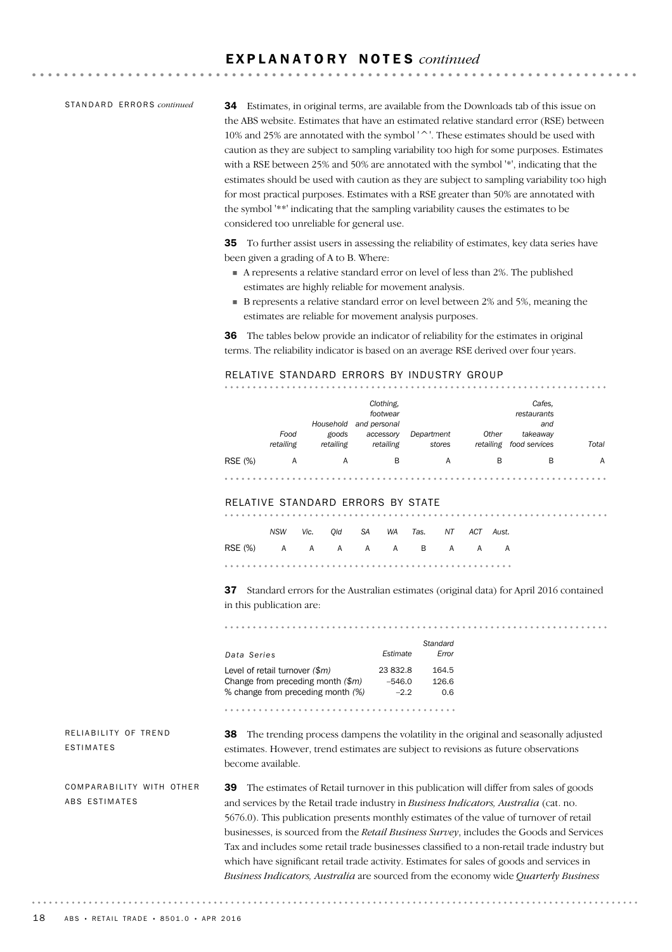#### E X P L A N A T O R Y N O T E S *continued*

STANDARD ERRORS *continued* 

34 Estimates, in original terms, are available from the Downloads tab of this issue on the ABS website. Estimates that have an estimated relative standard error (RSE) between 10% and 25% are annotated with the symbol '^'. These estimates should be used with caution as they are subject to sampling variability too high for some purposes. Estimates with a RSE between 25% and 50% are annotated with the symbol '\*', indicating that the estimates should be used with caution as they are subject to sampling variability too high for most practical purposes. Estimates with a RSE greater than 50% are annotated with the symbol '\*\*' indicating that the sampling variability causes the estimates to be considered too unreliable for general use.

35 To further assist users in assessing the reliability of estimates, key data series have been given a grading of A to B. Where:

- A represents a relative standard error on level of less than 2%. The published estimates are highly reliable for movement analysis.
- B represents a relative standard error on level between 2% and 5%, meaning the estimates are reliable for movement analysis purposes.

36 The tables below provide an indicator of reliability for the estimates in original terms. The reliability indicator is based on an average RSE derived over four years.

#### RELATIVE STANDARD ERRORS BY INDUSTRY GROUP

|         | Food      | Household<br>goods | Clothing,<br>footwear<br>and personal<br>accessory | Department | Other     | Cafes,<br>restaurants<br>and<br>takeaway |       |
|---------|-----------|--------------------|----------------------------------------------------|------------|-----------|------------------------------------------|-------|
|         | retailing | retailing          | retailing                                          | stores     | retailing | food services                            | Total |
| RSE (%) | A         | A                  | B                                                  | A          | B         | B                                        | A     |
|         |           |                    |                                                    |            |           |                                          |       |

#### RELATIVE STANDARD ERRORS BY STATE

|                          |  |  | NSW Vic. Old SA WA Tas. NT ACT Aust. |  |  |
|--------------------------|--|--|--------------------------------------|--|--|
| RSE(%) A A A A A B A A A |  |  |                                      |  |  |
|                          |  |  |                                      |  |  |

37 Standard errors for the Australian estimates (original data) for April 2016 contained in this publication are:

*Standard Data Series Estimate Error* Level of retail turnover *(\$m)* 23 832.8 164.5 Change from preceding month *(\$m)* –546.0 126.6 % change from preceding month *(%)* –2.2 0.6 

RELIABILITY OF TREND ESTIMATES

38 The trending process dampens the volatility in the original and seasonally adjusted estimates. However, trend estimates are subject to revisions as future observations become available.

COMPARABILITY WITH OTHER ABS ESTIMATES

39 The estimates of Retail turnover in this publication will differ from sales of goods and services by the Retail trade industry in *Business Indicators, Australia* (cat. no. 5676.0). This publication presents monthly estimates of the value of turnover of retail businesses, is sourced from the *Retail Business Survey*, includes the Goods and Services Tax and includes some retail trade businesses classified to a non-retail trade industry but which have significant retail trade activity. Estimates for sales of goods and services in *Business Indicators, Australia* are sourced from the economy wide *Quarterly Business*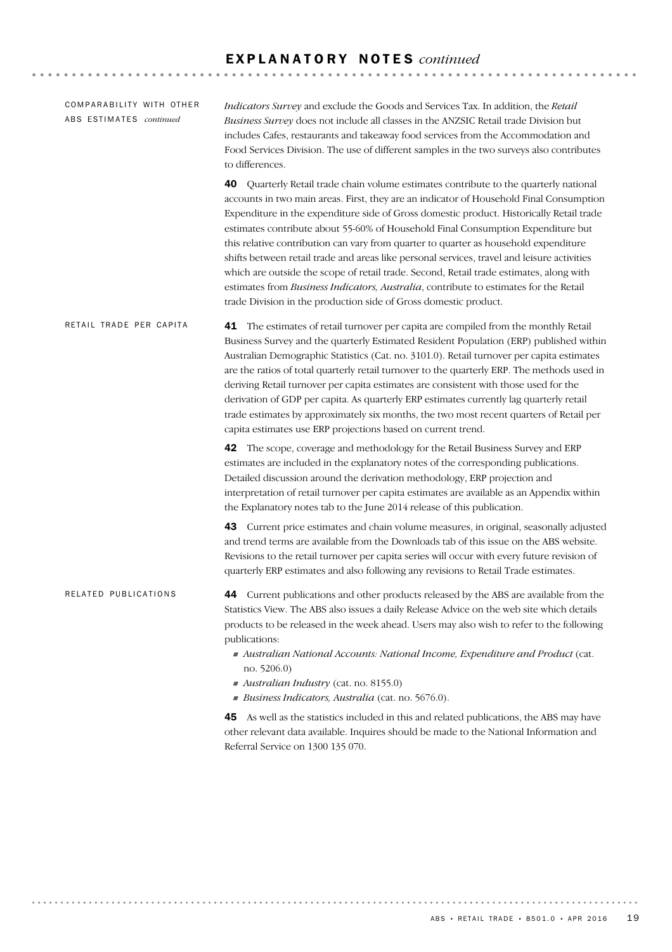| COMPARABILITY WITH OTHER<br>ABS ESTIMATES continued | Indicators Survey and exclude the Goods and Services Tax. In addition, the Retail<br>Business Survey does not include all classes in the ANZSIC Retail trade Division but<br>includes Cafes, restaurants and takeaway food services from the Accommodation and<br>Food Services Division. The use of different samples in the two surveys also contributes<br>to differences.                                                                                                                                                                                                                                                                                                                                                                                                                                      |
|-----------------------------------------------------|--------------------------------------------------------------------------------------------------------------------------------------------------------------------------------------------------------------------------------------------------------------------------------------------------------------------------------------------------------------------------------------------------------------------------------------------------------------------------------------------------------------------------------------------------------------------------------------------------------------------------------------------------------------------------------------------------------------------------------------------------------------------------------------------------------------------|
|                                                     | Quarterly Retail trade chain volume estimates contribute to the quarterly national<br>40<br>accounts in two main areas. First, they are an indicator of Household Final Consumption<br>Expenditure in the expenditure side of Gross domestic product. Historically Retail trade<br>estimates contribute about 55-60% of Household Final Consumption Expenditure but<br>this relative contribution can vary from quarter to quarter as household expenditure<br>shifts between retail trade and areas like personal services, travel and leisure activities<br>which are outside the scope of retail trade. Second, Retail trade estimates, along with<br>estimates from Business Indicators, Australia, contribute to estimates for the Retail<br>trade Division in the production side of Gross domestic product. |
| RETAIL TRADE PER CAPITA                             | 41 The estimates of retail turnover per capita are compiled from the monthly Retail<br>Business Survey and the quarterly Estimated Resident Population (ERP) published within<br>Australian Demographic Statistics (Cat. no. 3101.0). Retail turnover per capita estimates<br>are the ratios of total quarterly retail turnover to the quarterly ERP. The methods used in<br>deriving Retail turnover per capita estimates are consistent with those used for the<br>derivation of GDP per capita. As quarterly ERP estimates currently lag quarterly retail<br>trade estimates by approximately six months, the two most recent quarters of Retail per<br>capita estimates use ERP projections based on current trend.                                                                                            |
|                                                     | 42 The scope, coverage and methodology for the Retail Business Survey and ERP<br>estimates are included in the explanatory notes of the corresponding publications.<br>Detailed discussion around the derivation methodology, ERP projection and<br>interpretation of retail turnover per capita estimates are available as an Appendix within<br>the Explanatory notes tab to the June 2014 release of this publication.                                                                                                                                                                                                                                                                                                                                                                                          |
|                                                     | 43 Current price estimates and chain volume measures, in original, seasonally adjusted<br>and trend terms are available from the Downloads tab of this issue on the ABS website.<br>Revisions to the retail turnover per capita series will occur with every future revision of<br>quarterly ERP estimates and also following any revisions to Retail Trade estimates.                                                                                                                                                                                                                                                                                                                                                                                                                                             |
| RELATED PUBLICATIONS                                | Current publications and other products released by the ABS are available from the<br>44<br>Statistics View. The ABS also issues a daily Release Advice on the web site which details<br>products to be released in the week ahead. Users may also wish to refer to the following<br>publications:                                                                                                                                                                                                                                                                                                                                                                                                                                                                                                                 |
|                                                     | Australian National Accounts: National Income, Expenditure and Product (cat.<br>no. 5206.0)<br>Australian Industry (cat. no. 8155.0)                                                                                                                                                                                                                                                                                                                                                                                                                                                                                                                                                                                                                                                                               |
|                                                     | Business Indicators, Australia (cat. no. 5676.0).                                                                                                                                                                                                                                                                                                                                                                                                                                                                                                                                                                                                                                                                                                                                                                  |
|                                                     | As well as the statistics included in this and related publications, the ABS may have<br>45<br>other relevant data available. Inquires should be made to the National Information and<br>Referral Service on 1300 135 070.                                                                                                                                                                                                                                                                                                                                                                                                                                                                                                                                                                                         |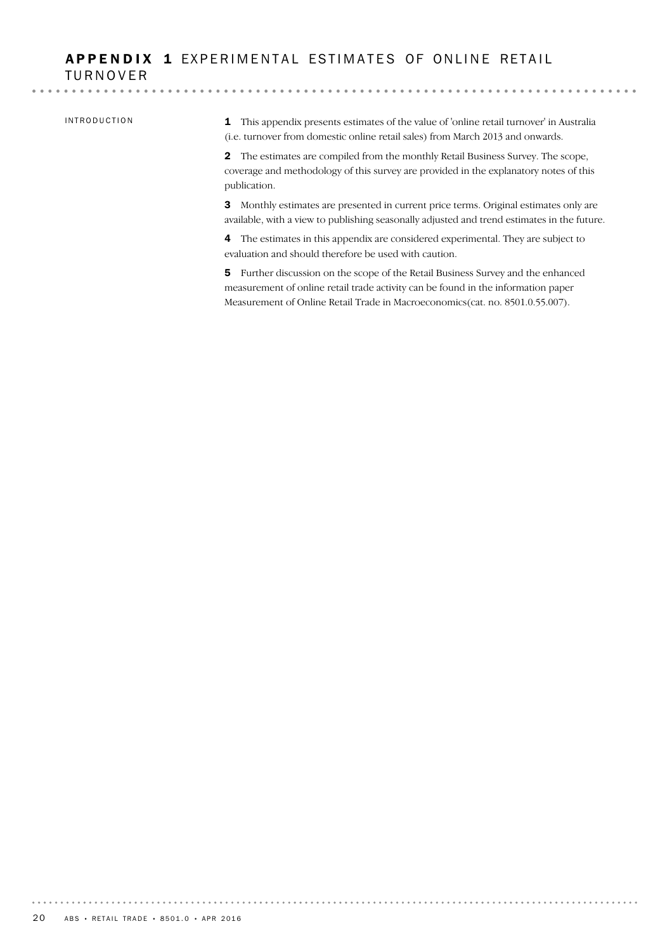#### APPENDIX 1 EXPERIMENTAL ESTIMATES OF ONLINE RETAIL TURNOVER

#### INTRODUCTION

1 This appendix presents estimates of the value of 'online retail turnover' in Australia (i.e. turnover from domestic online retail sales) from March 2013 and onwards.

2 The estimates are compiled from the monthly Retail Business Survey. The scope, coverage and methodology of this survey are provided in the explanatory notes of this publication.

3 Monthly estimates are presented in current price terms. Original estimates only are available, with a view to publishing seasonally adjusted and trend estimates in the future.

4 The estimates in this appendix are considered experimental. They are subject to evaluation and should therefore be used with caution.

5 Further discussion on the scope of the Retail Business Survey and the enhanced measurement of online retail trade activity can be found in the information paper Measurement of Online Retail Trade in Macroeconomics(cat. no. 8501.0.55.007).

. . . . . . . . . . . . .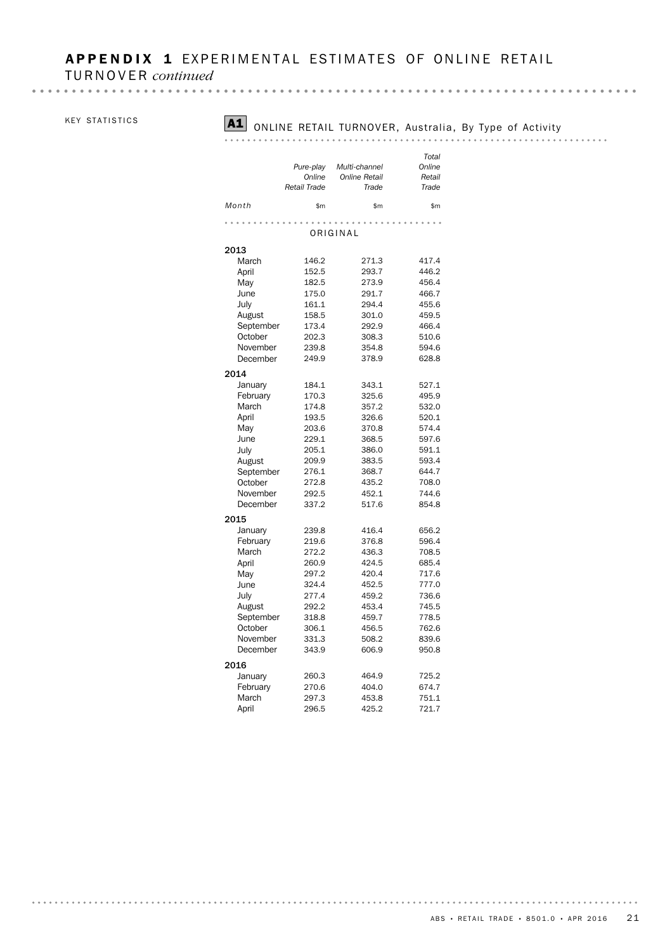## APPENDIX 1 EXPERIMENTAL ESTIMATES OF ONLINE RETAIL

TURNOVER *continued*

#### KEY STATISTICS

## A1 ONLINE RETAIL TURNOVER, Australia, By Type of Activity

#### 

|           |              |                      | Total  |
|-----------|--------------|----------------------|--------|
|           | Pure-play    | Multi-channel        | Online |
|           | Online       | <b>Online Retail</b> | Retail |
|           | Retail Trade | Trade                | Trade  |
|           |              |                      |        |
| Month     | \$m          | \$m                  | \$m    |
|           |              |                      |        |
|           |              | ORIGINAL             |        |
| 2013      |              |                      |        |
| March     | 146.2        | 271.3                | 417.4  |
| April     | 152.5        | 293.7                | 446.2  |
| May       | 182.5        | 273.9                | 456.4  |
| June      | 175.0        | 291.7                | 466.7  |
| July      | 161.1        | 294.4                | 455.6  |
| August    | 158.5        | 301.0                | 459.5  |
| September | 173.4        | 292.9                | 466.4  |
| October   | 202.3        | 308.3                | 510.6  |
| November  | 239.8        | 354.8                | 594.6  |
| December  | 249.9        | 378.9                | 628.8  |
|           |              |                      |        |
| 2014      |              |                      |        |
| January   | 184.1        | 343.1                | 527.1  |
| February  | 170.3        | 325.6                | 495.9  |
| March     | 174.8        | 357.2                | 532.0  |
| April     | 193.5        | 326.6                | 520.1  |
| May       | 203.6        | 370.8                | 574.4  |
| June      | 229.1        | 368.5                | 597.6  |
| July      | 205.1        | 386.0                | 591.1  |
| August    | 209.9        | 383.5                | 593.4  |
| September | 276.1        | 368.7                | 644.7  |
| October   | 272.8        | 435.2                | 708.0  |
| November  | 292.5        | 452.1                | 744.6  |
| December  | 337.2        | 517.6                | 854.8  |
| 2015      |              |                      |        |
| January   | 239.8        | 416.4                | 656.2  |
| February  | 219.6        | 376.8                | 596.4  |
| March     | 272.2        | 436.3                | 708.5  |
| April     | 260.9        | 424.5                | 685.4  |
| May       | 297.2        | 420.4                | 717.6  |
| June      | 324.4        | 452.5                | 777.0  |
| July      | 277.4        | 459.2                | 736.6  |
| August    | 292.2        | 453.4                | 745.5  |
| September | 318.8        | 459.7                | 778.5  |
| October   | 306.1        | 456.5                | 762.6  |
| November  | 331.3        | 508.2                | 839.6  |
| December  | 343.9        | 606.9                | 950.8  |
| 2016      |              |                      |        |
| January   | 260.3        | 464.9                | 725.2  |
| February  | 270.6        | 404.0                | 674.7  |
| March     | 297.3        | 453.8                | 751.1  |
| April     | 296.5        | 425.2                | 721.7  |
|           |              |                      |        |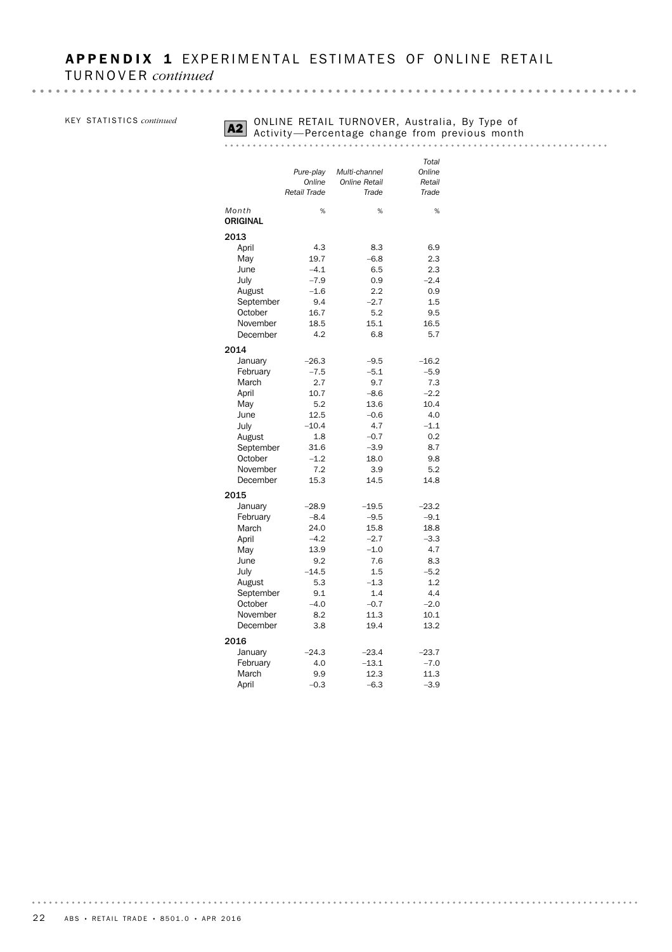|  | KEY STATISTICS continued |  |
|--|--------------------------|--|
|--|--------------------------|--|

## **A2** ONLINE RETAIL TURNOVER, Australia, By Type of<br>Activity —Percentage change from previous month<br>A2 Activity —Percentage change from previous month

|                 |              |                      | Total         |
|-----------------|--------------|----------------------|---------------|
|                 | Pure-play    | Multi-channel        | Online        |
|                 | Online       | <b>Online Retail</b> | Retail        |
|                 | Retail Trade | Trade                | Trade         |
| Month           | %            | %                    | %             |
| <b>ORIGINAL</b> |              |                      |               |
| 2013            |              |                      |               |
|                 | 4.3          | 8.3                  | 6.9           |
| April<br>May    | 19.7         | $-6.8$               | 2.3           |
|                 | $-4.1$       |                      |               |
| June            |              | 6.5                  | 2.3<br>$-2.4$ |
| July            | $-7.9$       | 0.9                  |               |
| August          | $-1.6$       | 2.2                  | 0.9           |
| September       | 9.4          | $-2.7$               | 1.5           |
| October         | 16.7         | 5.2                  | 9.5           |
| November        | 18.5         | 15.1                 | 16.5          |
| December        | 4.2          | 6.8                  | 5.7           |
| 2014            |              |                      |               |
| January         | $-26.3$      | $-9.5$               | $-16.2$       |
| February        | $-7.5$       | $-5.1$               | $-5.9$        |
| March           | 2.7          | 9.7                  | 7.3           |
| April           | 10.7         | $-8.6$               | $-2.2$        |
| May             | 5.2          | 13.6                 | 10.4          |
| June            | 12.5         | $-0.6$               | 4.0           |
| July            | $-10.4$      | 4.7                  | $-1.1$        |
| August          | 1.8          | $-0.7$               | 0.2           |
| September       | 31.6         | $-3.9$               | 8.7           |
| October         | $-1.2$       | 18.0                 | 9.8           |
| November        | 7.2          | 3.9                  | 5.2           |
| December        | 15.3         | 14.5                 | 14.8          |
| 2015            |              |                      |               |
| January         | $-28.9$      | $-19.5$              | $-23.2$       |
| February        | $-8.4$       | $-9.5$               | $-9.1$        |
| March           | 24.0         | 15.8                 | 18.8          |
| April           | $-4.2$       | $-2.7$               | $-3.3$        |
| May             | 13.9         | $-1.0$               | 4.7           |
| June            | 9.2          | 7.6                  | 8.3           |
| July            | $-14.5$      | 1.5                  | $-5.2$        |
| August          | 5.3          | $-1.3$               | 1.2           |
| September       | 9.1          | 1.4                  | 4.4           |
| October         | $-4.0$       | $-0.7$               | $-2.0$        |
| November        | 8.2          | 11.3                 | 10.1          |
| December        | 3.8          | 19.4                 | 13.2          |
|                 |              |                      |               |
| 2016            |              |                      |               |
| January         | $-24.3$      | $-23.4$              | $-23.7$       |
| February        | 4.0          | $-13.1$              | $-7.0$        |
| March           | 9.9          | 12.3                 | 11.3          |
| April           | $-0.3$       | $-6.3$               | $-3.9$        |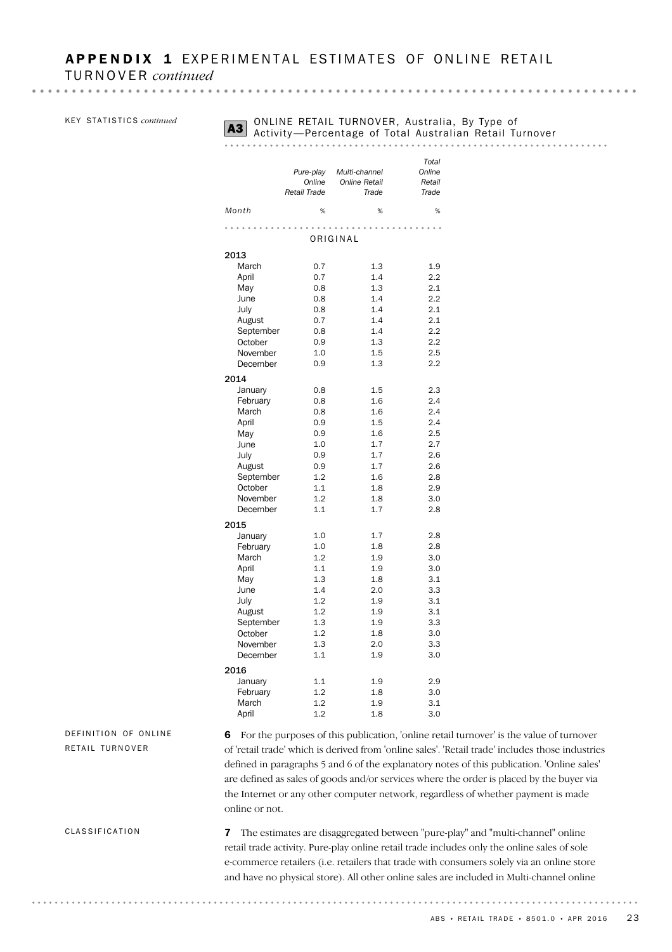KEY STATISTICS *continued* 

## **A3** ONLINE RETAIL TURNOVER, Australia, By Type of A3 Activity — Percentage of Total Australian Retail Turnover

#### *Total Pure-play Multi-channel Online Online Online Retail Retail Retail Trade Trade Trade Month* % % % ORIGINAL 2013 March 0.7 1.3 1.9<br>April 0.7 1.4 2.2 April 0.7 1.4 2.2 May 0.8 1.3 2.1 June 0.8 1.4 2.2 July 0.8 1.4 2.1 August 0.7 1.4 2.1 September 0.8 1.4 2.2 October 0.9 1.3 2.2 November 1.0 1.5 2.5 December 0.9 1.3 2.2 2014 January 0.8 1.5 2.3 February 0.8 1.6 2.4 March 0.8 1.6 2.4 April 0.9 1.5 2.4 May 0.9 1.6 2.5 June 1.0 1.7 2.7 July 0.9 1.7 2.6 August 0.9 1.7 2.6 September 1.2 1.6 2.8 October 1.1 1.8 2.9 November 1.2 1.8 3.0 December 1.1 1.7 2.8 2015 January 1.0 1.7 2.8 February 1.0 1.8 2.8 March 1.2 1.9 3.0 April 1.1 1.9 3.0 May 1.3 1.8 3.1 June 1.4 2.0 3.3 July 1.2 1.9 3.1 August 1.2 1.9 3.1 September 1.3 1.9 3.3 October 1.2 1.8 3.0 November 1.3 2.0 3.3 December 1.1 1.9 3.0 2016 January 1.1 1.9 2.9 February 1.2 1.8 3.0 March 1.2 1.9 3.1 April 1.2 1.8 3.0

#### DEFINITION OF ONLINE RETAIL TURNOVER

6 For the purposes of this publication, 'online retail turnover' is the value of turnover of 'retail trade' which is derived from 'online sales'. 'Retail trade' includes those industries defined in paragraphs 5 and 6 of the explanatory notes of this publication. 'Online sales' are defined as sales of goods and/or services where the order is placed by the buyer via the Internet or any other computer network, regardless of whether payment is made online or not.

CLASSIFICATION

7 The estimates are disaggregated between "pure-play" and "multi-channel" online retail trade activity. Pure-play online retail trade includes only the online sales of sole e-commerce retailers (i.e. retailers that trade with consumers solely via an online store and have no physical store). All other online sales are included in Multi-channel online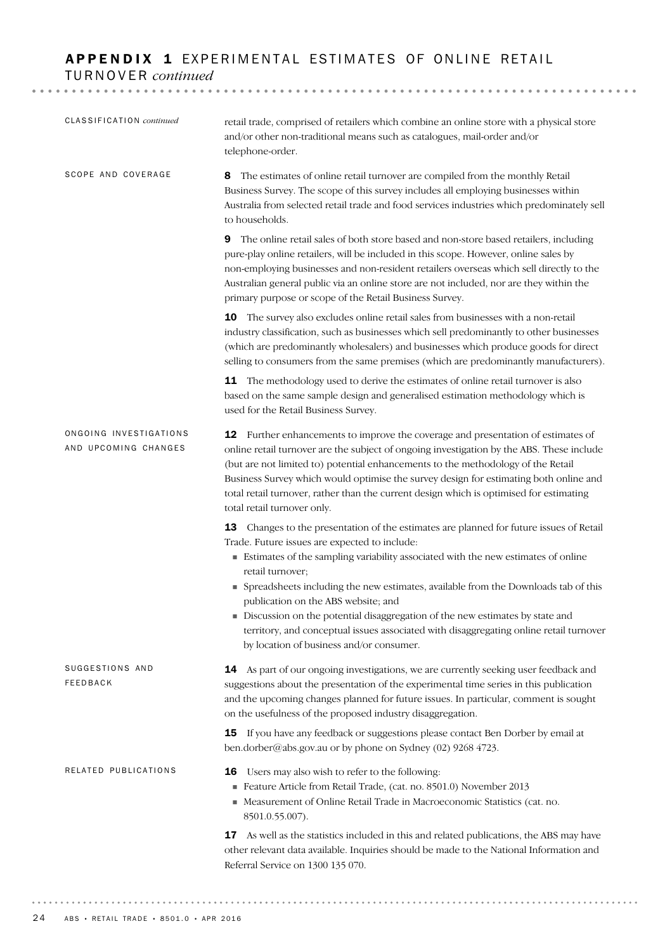## APPENDIX 1 EXPERIMENTAL ESTIMATES OF ONLINE RETAIL TURNOVER *continued*

| CLASSIFICATION continued                       | retail trade, comprised of retailers which combine an online store with a physical store<br>and/or other non-traditional means such as catalogues, mail-order and/or<br>telephone-order.                                                                                                                                                                                                                                                                                                                                                                                                               |
|------------------------------------------------|--------------------------------------------------------------------------------------------------------------------------------------------------------------------------------------------------------------------------------------------------------------------------------------------------------------------------------------------------------------------------------------------------------------------------------------------------------------------------------------------------------------------------------------------------------------------------------------------------------|
| SCOPE AND COVERAGE                             | The estimates of online retail turnover are compiled from the monthly Retail<br>8<br>Business Survey. The scope of this survey includes all employing businesses within<br>Australia from selected retail trade and food services industries which predominately sell<br>to households.                                                                                                                                                                                                                                                                                                                |
|                                                | The online retail sales of both store based and non-store based retailers, including<br>9<br>pure-play online retailers, will be included in this scope. However, online sales by<br>non-employing businesses and non-resident retailers overseas which sell directly to the<br>Australian general public via an online store are not included, nor are they within the<br>primary purpose or scope of the Retail Business Survey.                                                                                                                                                                     |
|                                                | <b>10</b> The survey also excludes online retail sales from businesses with a non-retail<br>industry classification, such as businesses which sell predominantly to other businesses<br>(which are predominantly wholesalers) and businesses which produce goods for direct<br>selling to consumers from the same premises (which are predominantly manufacturers).                                                                                                                                                                                                                                    |
|                                                | 11 The methodology used to derive the estimates of online retail turnover is also<br>based on the same sample design and generalised estimation methodology which is<br>used for the Retail Business Survey.                                                                                                                                                                                                                                                                                                                                                                                           |
| ONGOING INVESTIGATIONS<br>AND UPCOMING CHANGES | 12 Further enhancements to improve the coverage and presentation of estimates of<br>online retail turnover are the subject of ongoing investigation by the ABS. These include<br>(but are not limited to) potential enhancements to the methodology of the Retail<br>Business Survey which would optimise the survey design for estimating both online and<br>total retail turnover, rather than the current design which is optimised for estimating<br>total retail turnover only.                                                                                                                   |
|                                                | 13 Changes to the presentation of the estimates are planned for future issues of Retail<br>Trade. Future issues are expected to include:<br>Estimates of the sampling variability associated with the new estimates of online<br>retail turnover;<br>• Spreadsheets including the new estimates, available from the Downloads tab of this<br>publication on the ABS website; and<br>Discussion on the potential disaggregation of the new estimates by state and<br>territory, and conceptual issues associated with disaggregating online retail turnover<br>by location of business and/or consumer. |
| SUGGESTIONS AND<br>FEEDBACK                    | 14 As part of our ongoing investigations, we are currently seeking user feedback and<br>suggestions about the presentation of the experimental time series in this publication<br>and the upcoming changes planned for future issues. In particular, comment is sought<br>on the usefulness of the proposed industry disaggregation.                                                                                                                                                                                                                                                                   |
|                                                | 15 If you have any feedback or suggestions please contact Ben Dorber by email at<br>ben.dorber@abs.gov.au or by phone on Sydney (02) 9268 4723.                                                                                                                                                                                                                                                                                                                                                                                                                                                        |
| RELATED PUBLICATIONS                           | Users may also wish to refer to the following:<br>16<br>Feature Article from Retail Trade, (cat. no. 8501.0) November 2013<br>• Measurement of Online Retail Trade in Macroeconomic Statistics (cat. no.<br>8501.0.55.007).                                                                                                                                                                                                                                                                                                                                                                            |
|                                                | As well as the statistics included in this and related publications, the ABS may have<br>17<br>other relevant data available. Inquiries should be made to the National Information and<br>Referral Service on 1300 135 070.                                                                                                                                                                                                                                                                                                                                                                            |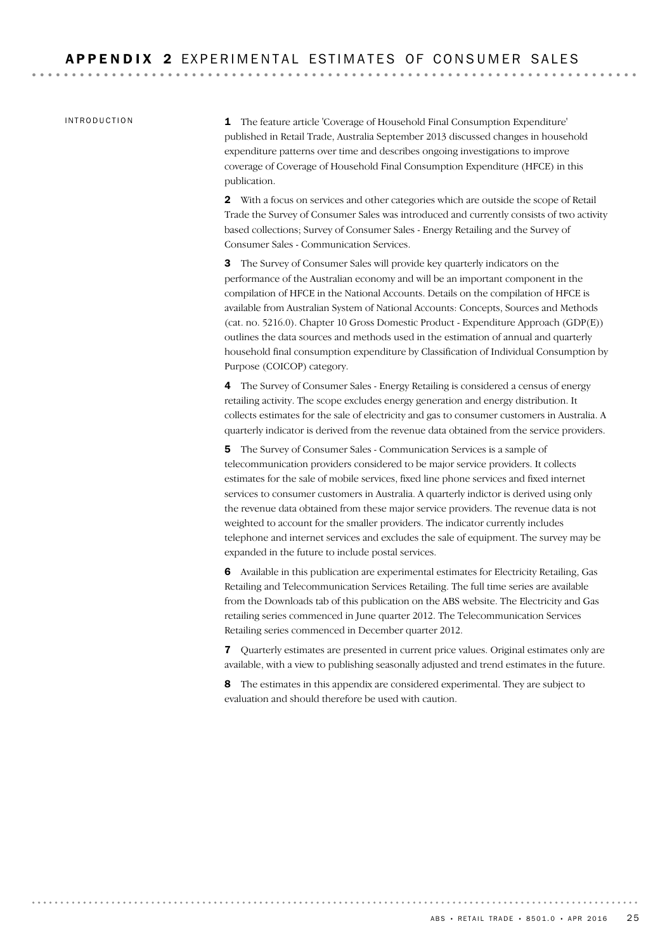INTRODUCTION

1 The feature article 'Coverage of Household Final Consumption Expenditure' published in Retail Trade, Australia September 2013 discussed changes in household expenditure patterns over time and describes ongoing investigations to improve coverage of Coverage of Household Final Consumption Expenditure (HFCE) in this publication.

2 With a focus on services and other categories which are outside the scope of Retail Trade the Survey of Consumer Sales was introduced and currently consists of two activity based collections; Survey of Consumer Sales - Energy Retailing and the Survey of Consumer Sales - Communication Services.

3 The Survey of Consumer Sales will provide key quarterly indicators on the performance of the Australian economy and will be an important component in the compilation of HFCE in the National Accounts. Details on the compilation of HFCE is available from Australian System of National Accounts: Concepts, Sources and Methods (cat. no. 5216.0). Chapter 10 Gross Domestic Product - Expenditure Approach (GDP(E)) outlines the data sources and methods used in the estimation of annual and quarterly household final consumption expenditure by Classification of Individual Consumption by Purpose (COICOP) category.

4 The Survey of Consumer Sales - Energy Retailing is considered a census of energy retailing activity. The scope excludes energy generation and energy distribution. It collects estimates for the sale of electricity and gas to consumer customers in Australia. A quarterly indicator is derived from the revenue data obtained from the service providers.

5 The Survey of Consumer Sales - Communication Services is a sample of telecommunication providers considered to be major service providers. It collects estimates for the sale of mobile services, fixed line phone services and fixed internet services to consumer customers in Australia. A quarterly indictor is derived using only the revenue data obtained from these major service providers. The revenue data is not weighted to account for the smaller providers. The indicator currently includes telephone and internet services and excludes the sale of equipment. The survey may be expanded in the future to include postal services.

6 Available in this publication are experimental estimates for Electricity Retailing, Gas Retailing and Telecommunication Services Retailing. The full time series are available from the Downloads tab of this publication on the ABS website. The Electricity and Gas retailing series commenced in June quarter 2012. The Telecommunication Services Retailing series commenced in December quarter 2012.

7 Quarterly estimates are presented in current price values. Original estimates only are available, with a view to publishing seasonally adjusted and trend estimates in the future.

8 The estimates in this appendix are considered experimental. They are subject to evaluation and should therefore be used with caution.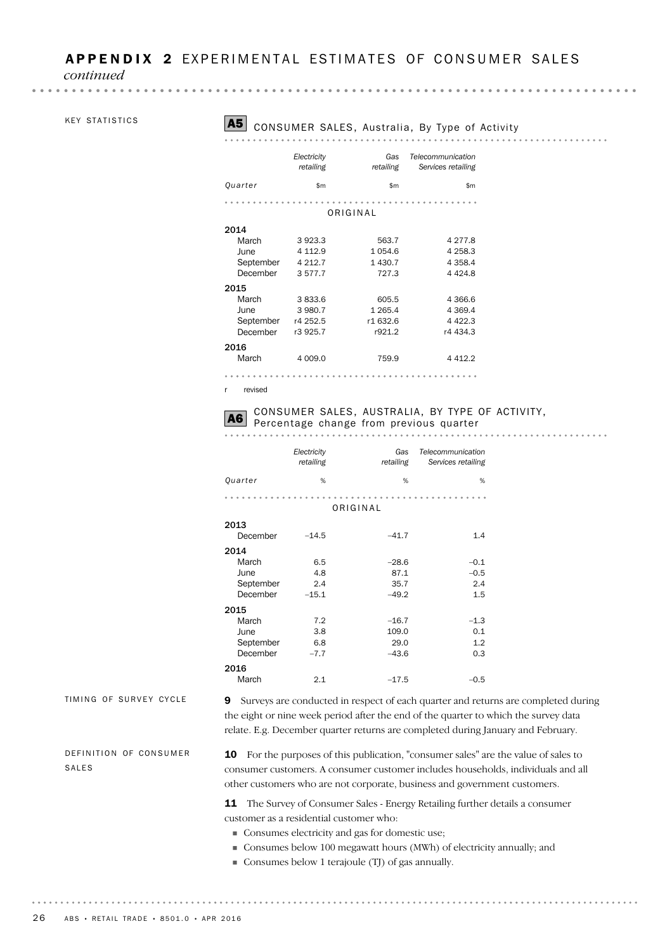*continued*

#### KEY STATISTICS

. . . . . . . . . .

 $\sim$   $\sim$   $\sim$   $\sim$ 

### A5 CONSUMER SALES, Australia, By Type of Activity

|           | Electricity<br>retailing | Gas<br>retailing | Telecommunication<br>Services retailing |
|-----------|--------------------------|------------------|-----------------------------------------|
| Quarter   | \$m                      | \$m              | \$m                                     |
|           |                          | ORIGINAL         |                                         |
| 2014      |                          |                  |                                         |
| March     | 3923.3                   | 563.7            | 4 2 7 7 .8                              |
| June      | 4 1 1 2.9                | 1054.6           | 4 2 5 8.3                               |
| September | 4 2 1 2.7                | 1 430.7          | 4 3 5 8.4                               |
| December  | 3577.7                   | 727.3            | 4 4 2 4 .8                              |
| 2015      |                          |                  |                                         |
| March     | 3833.6                   | 605.5            | 4 3 6 6.6                               |
| June      | 3 980.7                  | 1 2 6 5.4        | 4 3 6 9.4                               |
| September | r4 252.5                 | r1 632.6         | 4 4 2 2.3                               |
| December  | r3 925.7                 | r921.2           | r4 434.3                                |
| 2016      |                          |                  |                                         |
| March     | 4 009.0                  | 759.9            | 4412.2                                  |
|           |                          |                  |                                         |

r revised

### CONSUMER SALES, AUSTRALIA, BY TYPE OF ACTIVITY, A6 Percentage change from previous quarter . . . . . . . . . . . . .

|                                                | Electricity<br>retailing     | Gas<br>retailing                    | Telecommunication<br>Services retailing |
|------------------------------------------------|------------------------------|-------------------------------------|-----------------------------------------|
| Quarter                                        | %                            | %                                   | %                                       |
|                                                |                              | ORIGINAL                            |                                         |
| 2013<br>December                               | $-14.5$                      | $-41.7$                             | 1.4                                     |
| 2014<br>March<br>June<br>September<br>December | 6.5<br>4.8<br>2.4<br>$-15.1$ | $-28.6$<br>87.1<br>35.7<br>$-49.2$  | $-0.1$<br>$-0.5$<br>2.4<br>1.5          |
| 2015<br>March<br>June<br>September<br>December | 7.2<br>3.8<br>6.8<br>$-7.7$  | $-16.7$<br>109.0<br>29.0<br>$-43.6$ | $-1.3$<br>0.1<br>1.2<br>0.3             |
| 2016<br>March                                  | 2.1                          | $-17.5$                             | $-0.5$                                  |

TIMING OF SURVEY CYCLE

9 Surveys are conducted in respect of each quarter and returns are completed during the eight or nine week period after the end of the quarter to which the survey data relate. E.g. December quarter returns are completed during January and February.

DEFINITION OF CONSUMER SALES

10 For the purposes of this publication, "consumer sales" are the value of sales to consumer customers. A consumer customer includes households, individuals and all other customers who are not corporate, business and government customers.

11 The Survey of Consumer Sales - Energy Retailing further details a consumer customer as a residential customer who:

- Consumes electricity and gas for domestic use;
- Consumes below 100 megawatt hours (MWh) of electricity annually; and

. . . . . . . . . . . . . .

Consumes below 1 terajoule (TJ) of gas annually.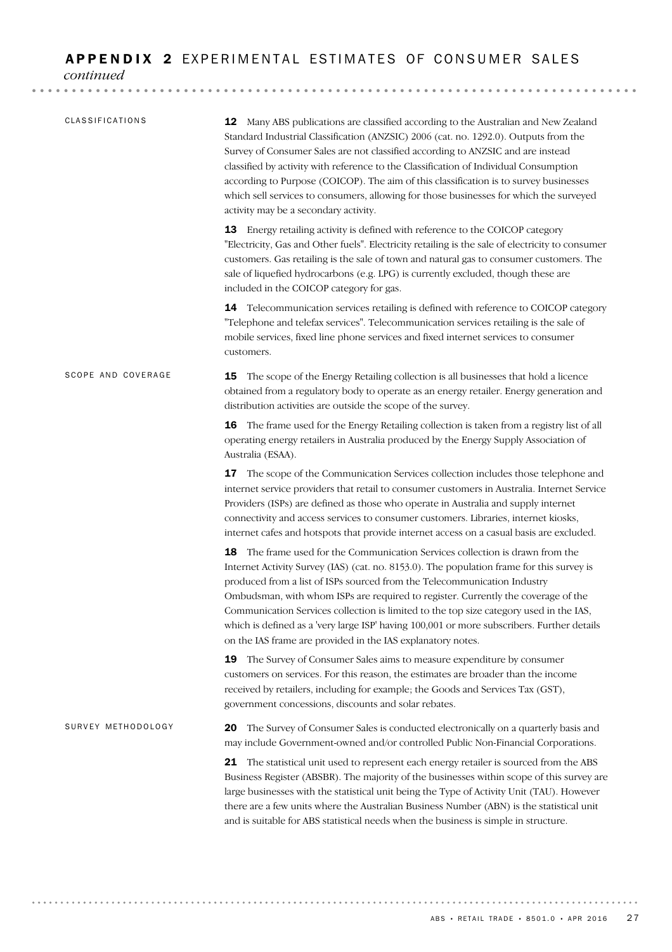#### APPENDIX 2 EXPERIMENTAL ESTIMATES OF CONSUMER SALES

*continued*

| CLASSIFICATIONS    | 12 Many ABS publications are classified according to the Australian and New Zealand<br>Standard Industrial Classification (ANZSIC) 2006 (cat. no. 1292.0). Outputs from the<br>Survey of Consumer Sales are not classified according to ANZSIC and are instead<br>classified by activity with reference to the Classification of Individual Consumption<br>according to Purpose (COICOP). The aim of this classification is to survey businesses<br>which sell services to consumers, allowing for those businesses for which the surveyed<br>activity may be a secondary activity.                    |
|--------------------|--------------------------------------------------------------------------------------------------------------------------------------------------------------------------------------------------------------------------------------------------------------------------------------------------------------------------------------------------------------------------------------------------------------------------------------------------------------------------------------------------------------------------------------------------------------------------------------------------------|
|                    | 13 Energy retailing activity is defined with reference to the COICOP category<br>"Electricity, Gas and Other fuels". Electricity retailing is the sale of electricity to consumer<br>customers. Gas retailing is the sale of town and natural gas to consumer customers. The<br>sale of liquefied hydrocarbons (e.g. LPG) is currently excluded, though these are<br>included in the COICOP category for gas.                                                                                                                                                                                          |
|                    | 14 Telecommunication services retailing is defined with reference to COICOP category<br>"Telephone and telefax services". Telecommunication services retailing is the sale of<br>mobile services, fixed line phone services and fixed internet services to consumer<br>customers.                                                                                                                                                                                                                                                                                                                      |
| SCOPE AND COVERAGE | The scope of the Energy Retailing collection is all businesses that hold a licence<br>15<br>obtained from a regulatory body to operate as an energy retailer. Energy generation and<br>distribution activities are outside the scope of the survey.                                                                                                                                                                                                                                                                                                                                                    |
|                    | 16 The frame used for the Energy Retailing collection is taken from a registry list of all<br>operating energy retailers in Australia produced by the Energy Supply Association of<br>Australia (ESAA).                                                                                                                                                                                                                                                                                                                                                                                                |
|                    | The scope of the Communication Services collection includes those telephone and<br>17<br>internet service providers that retail to consumer customers in Australia. Internet Service<br>Providers (ISPs) are defined as those who operate in Australia and supply internet<br>connectivity and access services to consumer customers. Libraries, internet kiosks,<br>internet cafes and hotspots that provide internet access on a casual basis are excluded.                                                                                                                                          |
|                    | The frame used for the Communication Services collection is drawn from the<br>18.<br>Internet Activity Survey (IAS) (cat. no. 8153.0). The population frame for this survey is<br>produced from a list of ISPs sourced from the Telecommunication Industry<br>Ombudsman, with whom ISPs are required to register. Currently the coverage of the<br>Communication Services collection is limited to the top size category used in the IAS.<br>which is defined as a 'very large ISP' having 100,001 or more subscribers. Further details<br>on the IAS frame are provided in the IAS explanatory notes. |
|                    | 19<br>The Survey of Consumer Sales aims to measure expenditure by consumer<br>customers on services. For this reason, the estimates are broader than the income<br>received by retailers, including for example; the Goods and Services Tax (GST),<br>government concessions, discounts and solar rebates.                                                                                                                                                                                                                                                                                             |
| SURVEY METHODOLOGY | The Survey of Consumer Sales is conducted electronically on a quarterly basis and<br>20<br>may include Government-owned and/or controlled Public Non-Financial Corporations.                                                                                                                                                                                                                                                                                                                                                                                                                           |
|                    | The statistical unit used to represent each energy retailer is sourced from the ABS<br>21<br>Business Register (ABSBR). The majority of the businesses within scope of this survey are<br>large businesses with the statistical unit being the Type of Activity Unit (TAU). However<br>there are a few units where the Australian Business Number (ABN) is the statistical unit<br>and is suitable for ABS statistical needs when the business is simple in structure.                                                                                                                                 |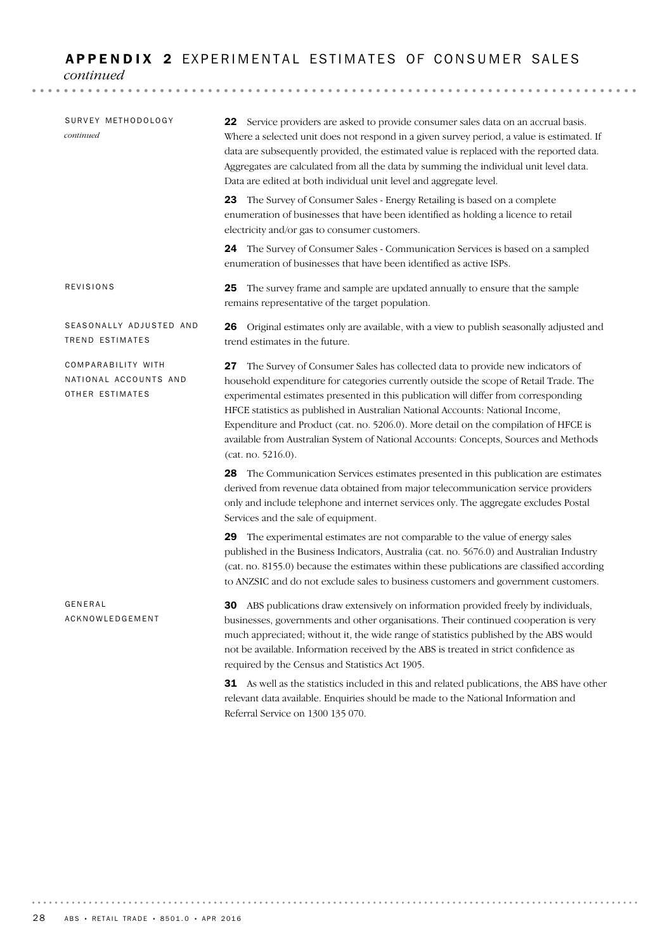#### APPENDIX 2 EXPERIMENTAL ESTIMATES OF CONSUMER SALES

*continued*

| SURVEY METHODOLOGY<br>continued                                | 22 Service providers are asked to provide consumer sales data on an accrual basis.<br>Where a selected unit does not respond in a given survey period, a value is estimated. If<br>data are subsequently provided, the estimated value is replaced with the reported data.<br>Aggregates are calculated from all the data by summing the individual unit level data.<br>Data are edited at both individual unit level and aggregate level.                                                                                                              |
|----------------------------------------------------------------|---------------------------------------------------------------------------------------------------------------------------------------------------------------------------------------------------------------------------------------------------------------------------------------------------------------------------------------------------------------------------------------------------------------------------------------------------------------------------------------------------------------------------------------------------------|
|                                                                | 23 The Survey of Consumer Sales - Energy Retailing is based on a complete<br>enumeration of businesses that have been identified as holding a licence to retail<br>electricity and/or gas to consumer customers.                                                                                                                                                                                                                                                                                                                                        |
|                                                                | <b>24</b> The Survey of Consumer Sales - Communication Services is based on a sampled<br>enumeration of businesses that have been identified as active ISPs.                                                                                                                                                                                                                                                                                                                                                                                            |
| REVISIONS                                                      | The survey frame and sample are updated annually to ensure that the sample<br>25<br>remains representative of the target population.                                                                                                                                                                                                                                                                                                                                                                                                                    |
| SEASONALLY ADJUSTED AND<br><b>TREND ESTIMATES</b>              | <b>26</b> Original estimates only are available, with a view to publish seasonally adjusted and<br>trend estimates in the future.                                                                                                                                                                                                                                                                                                                                                                                                                       |
| COMPARABILITY WITH<br>NATIONAL ACCOUNTS AND<br>OTHER ESTIMATES | 27 The Survey of Consumer Sales has collected data to provide new indicators of<br>household expenditure for categories currently outside the scope of Retail Trade. The<br>experimental estimates presented in this publication will differ from corresponding<br>HFCE statistics as published in Australian National Accounts: National Income,<br>Expenditure and Product (cat. no. 5206.0). More detail on the compilation of HFCE is<br>available from Australian System of National Accounts: Concepts, Sources and Methods<br>(cat. no. 5216.0). |
|                                                                | 28 The Communication Services estimates presented in this publication are estimates<br>derived from revenue data obtained from major telecommunication service providers<br>only and include telephone and internet services only. The aggregate excludes Postal<br>Services and the sale of equipment.                                                                                                                                                                                                                                                 |
|                                                                | 29 The experimental estimates are not comparable to the value of energy sales<br>published in the Business Indicators, Australia (cat. no. 5676.0) and Australian Industry<br>(cat. no. 8155.0) because the estimates within these publications are classified according<br>to ANZSIC and do not exclude sales to business customers and government customers.                                                                                                                                                                                          |
| GENERAL<br>ACKNOWLEDGEMENT                                     | 30 ABS publications draw extensively on information provided freely by individuals,<br>businesses, governments and other organisations. Their continued cooperation is very<br>much appreciated; without it, the wide range of statistics published by the ABS would<br>not be available. Information received by the ABS is treated in strict confidence as<br>required by the Census and Statistics Act 1905.                                                                                                                                         |
|                                                                | <b>31</b> As well as the statistics included in this and related publications, the ARS have other                                                                                                                                                                                                                                                                                                                                                                                                                                                       |

31 As well as the statistics included in this and related publications, the ABS have other relevant data available. Enquiries should be made to the National Information and Referral Service on 1300 135 070.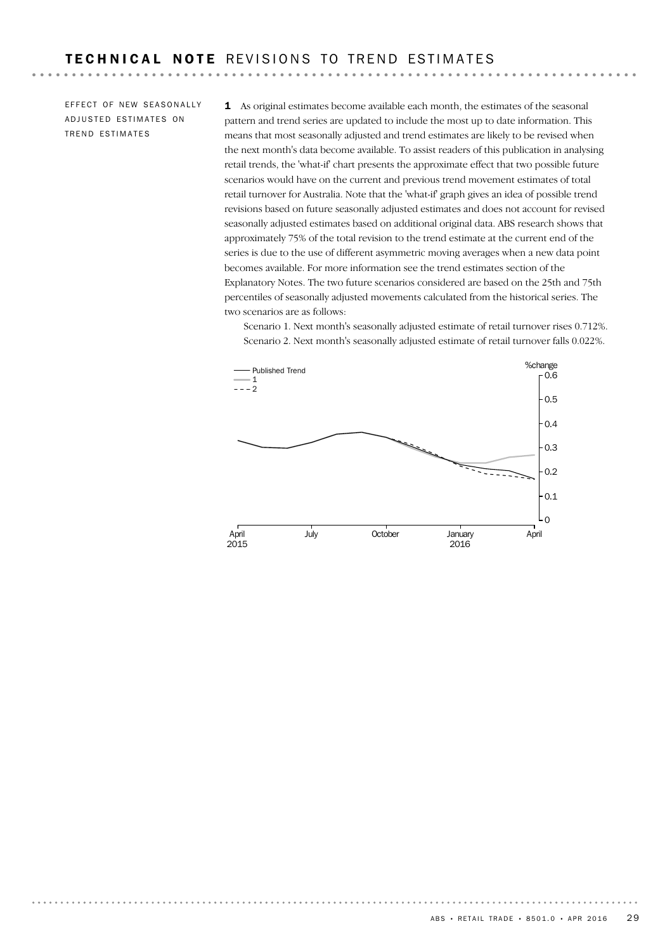. . . . . . . . .

EFFECT OF NEW SEASONALLY ADJUSTED ESTIMATES ON TREND ESTIMATES

. . . . . . . . . . . . .

1 As original estimates become available each month, the estimates of the seasonal pattern and trend series are updated to include the most up to date information. This means that most seasonally adjusted and trend estimates are likely to be revised when the next month's data become available. To assist readers of this publication in analysing retail trends, the 'what-if' chart presents the approximate effect that two possible future scenarios would have on the current and previous trend movement estimates of total retail turnover for Australia. Note that the 'what-if' graph gives an idea of possible trend revisions based on future seasonally adjusted estimates and does not account for revised seasonally adjusted estimates based on additional original data. ABS research shows that approximately 75% of the total revision to the trend estimate at the current end of the series is due to the use of different asymmetric moving averages when a new data point becomes available. For more information see the trend estimates section of the Explanatory Notes. The two future scenarios considered are based on the 25th and 75th percentiles of seasonally adjusted movements calculated from the historical series. The two scenarios are as follows:

Scenario 1. Next month's seasonally adjusted estimate of retail turnover rises 0.712%. Scenario 2. Next month's seasonally adjusted estimate of retail turnover falls 0.022%.